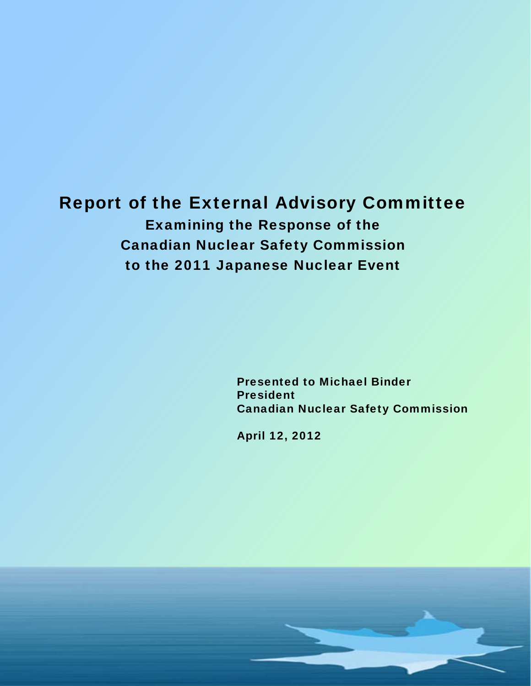# Report of the External Advisory Committee Examining the Response of the Canadian Nuclear Safety Commission to the 2011 Japanese Nuclear Event

Presented to Michael Binder President Canadian Nuclear Safety Commission

April 12, 2012

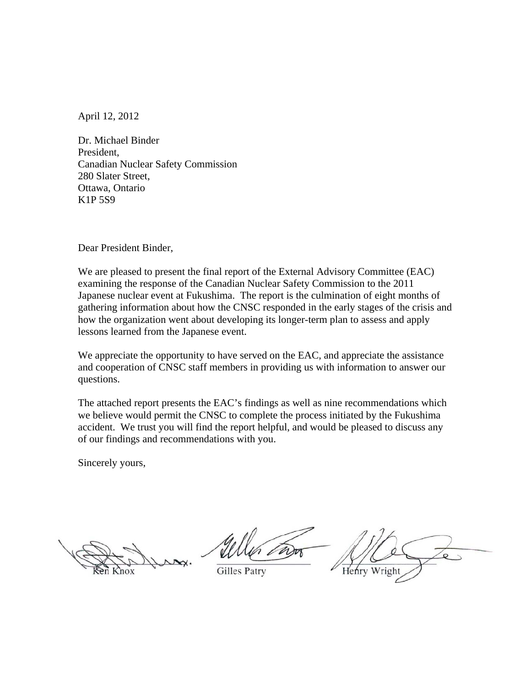April 12, 2012

Dr. Michael Binder President, Canadian Nuclear Safety Commission 280 Slater Street, Ottawa, Ontario K1P 5S9

Dear President Binder,

We are pleased to present the final report of the External Advisory Committee (EAC) examining the response of the Canadian Nuclear Safety Commission to the 2011 Japanese nuclear event at Fukushima. The report is the culmination of eight months of gathering information about how the CNSC responded in the early stages of the crisis and how the organization went about developing its longer-term plan to assess and apply lessons learned from the Japanese event.

We appreciate the opportunity to have served on the EAC, and appreciate the assistance and cooperation of CNSC staff members in providing us with information to answer our questions.

The attached report presents the EAC's findings as well as nine recommendations which we believe would permit the CNSC to complete the process initiated by the Fukushima accident. We trust you will find the report helpful, and would be pleased to discuss any of our findings and recommendations with you.

Sincerely yours,

Gilles Patry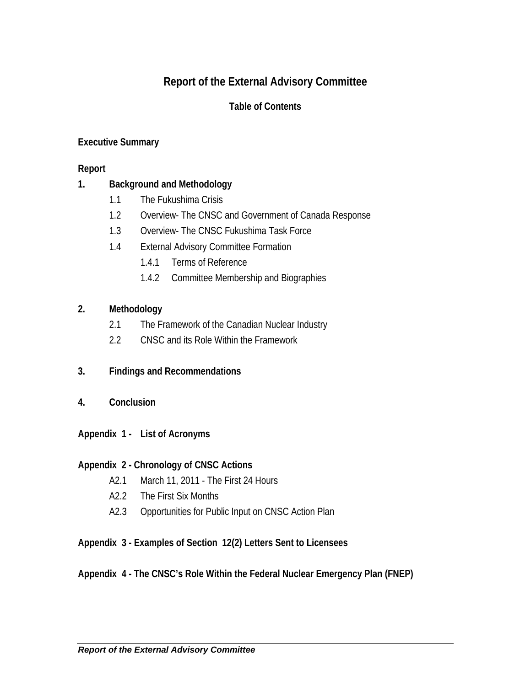# **Report of the External Advisory Committee**

## **Table of Contents**

## **Executive Summary**

#### **Report**

## **1. Background and Methodology**

- 1.1 The Fukushima Crisis
- 1.2 Overview- The CNSC and Government of Canada Response
- 1.3 Overview- The CNSC Fukushima Task Force
- 1.4 External Advisory Committee Formation
	- 1.4.1 Terms of Reference
	- 1.4.2 Committee Membership and Biographies

#### **2. Methodology**

- 2.1 The Framework of the Canadian Nuclear Industry
- 2.2 CNSC and its Role Within the Framework
- **3. Findings and Recommendations**
- **4. Conclusion**
- **Appendix 1 List of Acronyms**

#### **Appendix 2 - Chronology of CNSC Actions**

- A2.1 March 11, 2011 The First 24 Hours
- A2.2 The First Six Months
- A2.3 Opportunities for Public Input on CNSC Action Plan

## **Appendix 3 - Examples of Section 12(2) Letters Sent to Licensees**

## **Appendix 4 - The CNSC's Role Within the Federal Nuclear Emergency Plan (FNEP)**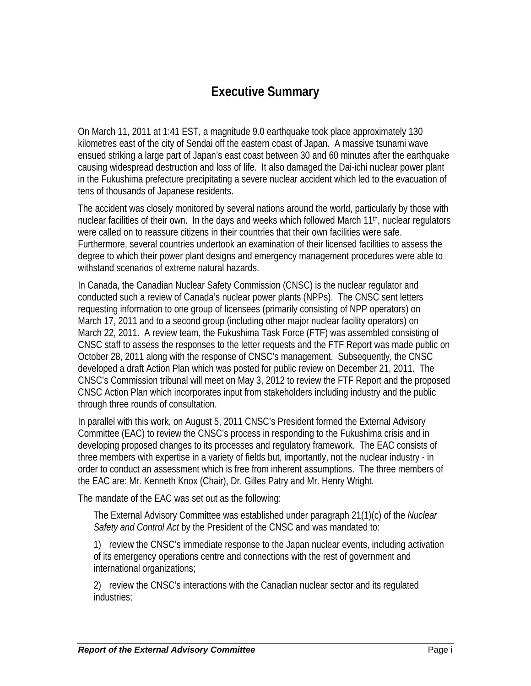# **Executive Summary**

On March 11, 2011 at 1:41 EST, a magnitude 9.0 earthquake took place approximately 130 kilometres east of the city of Sendai off the eastern coast of Japan. A massive tsunami wave ensued striking a large part of Japan's east coast between 30 and 60 minutes after the earthquake causing widespread destruction and loss of life. It also damaged the Dai-ichi nuclear power plant in the Fukushima prefecture precipitating a severe nuclear accident which led to the evacuation of tens of thousands of Japanese residents.

The accident was closely monitored by several nations around the world, particularly by those with nuclear facilities of their own. In the days and weeks which followed March 11<sup>th</sup>, nuclear regulators were called on to reassure citizens in their countries that their own facilities were safe. Furthermore, several countries undertook an examination of their licensed facilities to assess the degree to which their power plant designs and emergency management procedures were able to withstand scenarios of extreme natural hazards.

In Canada, the Canadian Nuclear Safety Commission (CNSC) is the nuclear regulator and conducted such a review of Canada's nuclear power plants (NPPs). The CNSC sent letters requesting information to one group of licensees (primarily consisting of NPP operators) on March 17, 2011 and to a second group (including other major nuclear facility operators) on March 22, 2011. A review team, the Fukushima Task Force (FTF) was assembled consisting of CNSC staff to assess the responses to the letter requests and the FTF Report was made public on October 28, 2011 along with the response of CNSC's management. Subsequently, the CNSC developed a draft Action Plan which was posted for public review on December 21, 2011. The CNSC's Commission tribunal will meet on May 3, 2012 to review the FTF Report and the proposed CNSC Action Plan which incorporates input from stakeholders including industry and the public through three rounds of consultation.

In parallel with this work, on August 5, 2011 CNSC's President formed the External Advisory Committee (EAC) to review the CNSC's process in responding to the Fukushima crisis and in developing proposed changes to its processes and regulatory framework. The EAC consists of three members with expertise in a variety of fields but, importantly, not the nuclear industry - in order to conduct an assessment which is free from inherent assumptions. The three members of the EAC are: Mr. Kenneth Knox (Chair), Dr. Gilles Patry and Mr. Henry Wright.

The mandate of the EAC was set out as the following:

The External Advisory Committee was established under paragraph 21(1)(c) of the *Nuclear Safety and Control Act* by the President of the CNSC and was mandated to:

1) review the CNSC's immediate response to the Japan nuclear events, including activation of its emergency operations centre and connections with the rest of government and international organizations;

2) review the CNSC's interactions with the Canadian nuclear sector and its regulated industries;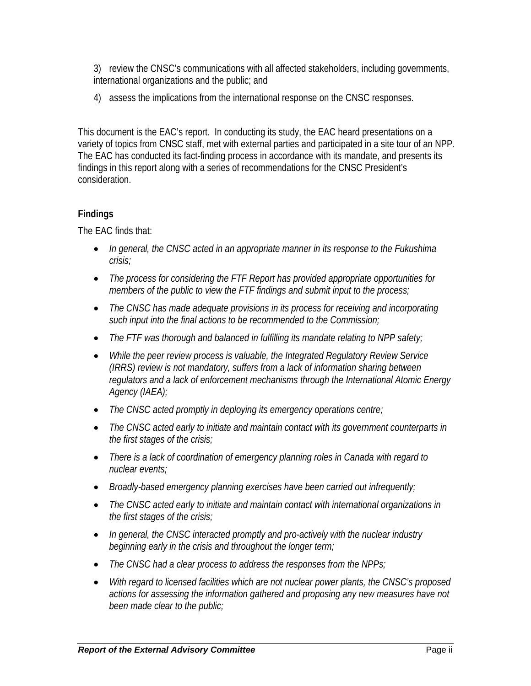3) review the CNSC's communications with all affected stakeholders, including governments, international organizations and the public; and

4) assess the implications from the international response on the CNSC responses.

This document is the EAC's report. In conducting its study, the EAC heard presentations on a variety of topics from CNSC staff, met with external parties and participated in a site tour of an NPP. The EAC has conducted its fact-finding process in accordance with its mandate, and presents its findings in this report along with a series of recommendations for the CNSC President's consideration.

## **Findings**

The EAC finds that:

- *In general, the CNSC acted in an appropriate manner in its response to the Fukushima crisis;*
- *The process for considering the FTF Report has provided appropriate opportunities for members of the public to view the FTF findings and submit input to the process;*
- *The CNSC has made adequate provisions in its process for receiving and incorporating such input into the final actions to be recommended to the Commission;*
- *The FTF was thorough and balanced in fulfilling its mandate relating to NPP safety;*
- *While the peer review process is valuable, the Integrated Regulatory Review Service (IRRS) review is not mandatory, suffers from a lack of information sharing between regulators and a lack of enforcement mechanisms through the International Atomic Energy Agency (IAEA);*
- *The CNSC acted promptly in deploying its emergency operations centre;*
- *The CNSC acted early to initiate and maintain contact with its government counterparts in the first stages of the crisis;*
- *There is a lack of coordination of emergency planning roles in Canada with regard to nuclear events;*
- *Broadly-based emergency planning exercises have been carried out infrequently;*
- *The CNSC acted early to initiate and maintain contact with international organizations in the first stages of the crisis;*
- *In general, the CNSC interacted promptly and pro-actively with the nuclear industry beginning early in the crisis and throughout the longer term;*
- *The CNSC had a clear process to address the responses from the NPPs;*
- *With regard to licensed facilities which are not nuclear power plants, the CNSC's proposed actions for assessing the information gathered and proposing any new measures have not been made clear to the public;*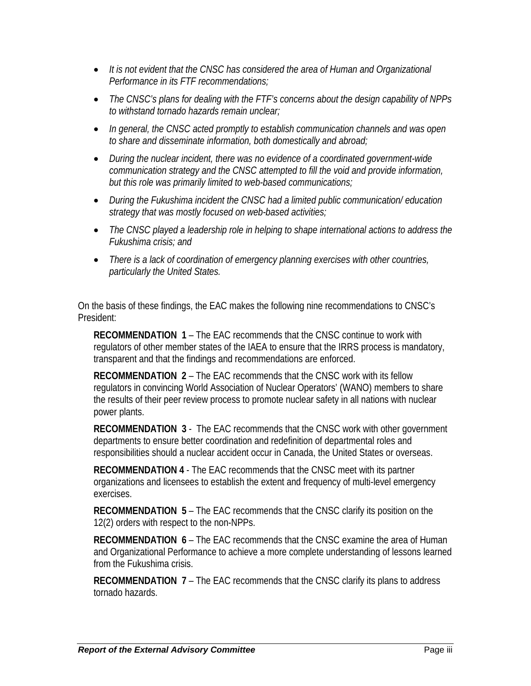- *It is not evident that the CNSC has considered the area of Human and Organizational Performance in its FTF recommendations;*
- *The CNSC's plans for dealing with the FTF's concerns about the design capability of NPPs to withstand tornado hazards remain unclear;*
- *In general, the CNSC acted promptly to establish communication channels and was open to share and disseminate information, both domestically and abroad;*
- *During the nuclear incident, there was no evidence of a coordinated government-wide communication strategy and the CNSC attempted to fill the void and provide information, but this role was primarily limited to web-based communications;*
- *During the Fukushima incident the CNSC had a limited public communication/ education strategy that was mostly focused on web-based activities;*
- *The CNSC played a leadership role in helping to shape international actions to address the Fukushima crisis; and*
- *There is a lack of coordination of emergency planning exercises with other countries, particularly the United States.*

On the basis of these findings, the EAC makes the following nine recommendations to CNSC's President:

**RECOMMENDATION 1** – The EAC recommends that the CNSC continue to work with regulators of other member states of the IAEA to ensure that the IRRS process is mandatory, transparent and that the findings and recommendations are enforced.

**RECOMMENDATION 2** – The EAC recommends that the CNSC work with its fellow regulators in convincing World Association of Nuclear Operators' (WANO) members to share the results of their peer review process to promote nuclear safety in all nations with nuclear power plants.

**RECOMMENDATION 3** - The EAC recommends that the CNSC work with other government departments to ensure better coordination and redefinition of departmental roles and responsibilities should a nuclear accident occur in Canada, the United States or overseas.

**RECOMMENDATION 4** - The EAC recommends that the CNSC meet with its partner organizations and licensees to establish the extent and frequency of multi-level emergency exercises.

**RECOMMENDATION 5** – The EAC recommends that the CNSC clarify its position on the 12(2) orders with respect to the non-NPPs.

**RECOMMENDATION 6** – The EAC recommends that the CNSC examine the area of Human and Organizational Performance to achieve a more complete understanding of lessons learned from the Fukushima crisis.

**RECOMMENDATION 7** – The EAC recommends that the CNSC clarify its plans to address tornado hazards.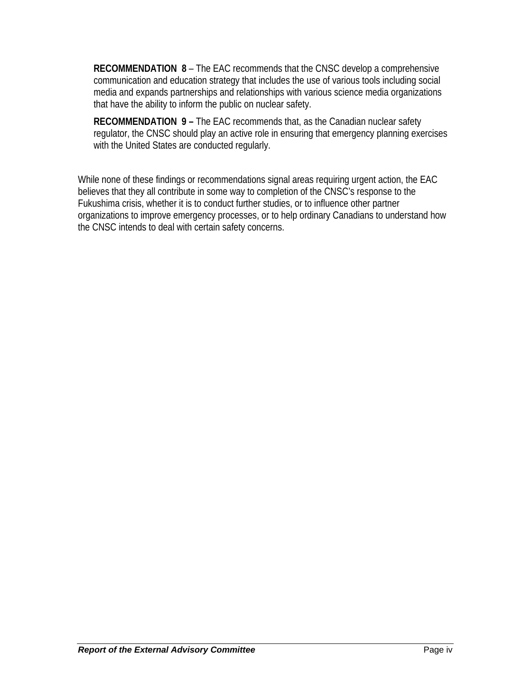**RECOMMENDATION 8** – The EAC recommends that the CNSC develop a comprehensive communication and education strategy that includes the use of various tools including social media and expands partnerships and relationships with various science media organizations that have the ability to inform the public on nuclear safety.

**RECOMMENDATION 9 –** The EAC recommends that, as the Canadian nuclear safety regulator, the CNSC should play an active role in ensuring that emergency planning exercises with the United States are conducted regularly.

While none of these findings or recommendations signal areas requiring urgent action, the EAC believes that they all contribute in some way to completion of the CNSC's response to the Fukushima crisis, whether it is to conduct further studies, or to influence other partner organizations to improve emergency processes, or to help ordinary Canadians to understand how the CNSC intends to deal with certain safety concerns.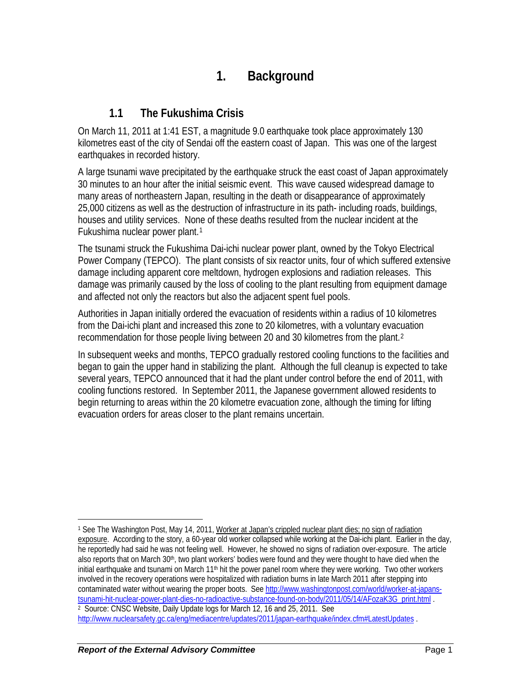# **1. Background**

## **1.1 The Fukushima Crisis**

On March 11, 2011 at 1:41 EST, a magnitude 9.0 earthquake took place approximately 130 kilometres east of the city of Sendai off the eastern coast of Japan. This was one of the largest earthquakes in recorded history.

A large tsunami wave precipitated by the earthquake struck the east coast of Japan approximately 30 minutes to an hour after the initial seismic event. This wave caused widespread damage to many areas of northeastern Japan, resulting in the death or disappearance of approximately 25,000 citizens as well as the destruction of infrastructure in its path- including roads, buildings, houses and utility services. None of these deaths resulted from the nuclear incident at the Fukushima nuclear power plant.[1](#page-7-0)

The tsunami struck the Fukushima Dai-ichi nuclear power plant, owned by the Tokyo Electrical Power Company (TEPCO). The plant consists of six reactor units, four of which suffered extensive damage including apparent core meltdown, hydrogen explosions and radiation releases. This damage was primarily caused by the loss of cooling to the plant resulting from equipment damage and affected not only the reactors but also the adjacent spent fuel pools.

Authorities in Japan initially ordered the evacuation of residents within a radius of 10 kilometres from the Dai-ichi plant and increased this zone to 20 kilometres, with a voluntary evacuation recommendation for those people living between 20 and 30 kilometres from the plant.[2](#page-7-1)

In subsequent weeks and months, TEPCO gradually restored cooling functions to the facilities and began to gain the upper hand in stabilizing the plant. Although the full cleanup is expected to take several years, TEPCO announced that it had the plant under control before the end of 2011, with cooling functions restored. In September 2011, the Japanese government allowed residents to begin returning to areas within the 20 kilometre evacuation zone, although the timing for lifting evacuation orders for areas closer to the plant remains uncertain.

<span id="page-7-1"></span><span id="page-7-0"></span> $\overline{a}$ 1 See The Washington Post, May 14, 2011, Worker at Japan's crippled nuclear plant dies; no sign of radiation exposure. According to the story, a 60-year old worker collapsed while working at the Dai-ichi plant. Earlier in the day, he reportedly had said he was not feeling well. However, he showed no signs of radiation over-exposure. The article also reports that on March 30<sup>th</sup>, two plant workers' bodies were found and they were thought to have died when the initial earthquake and tsunami on March  $11<sup>th</sup>$  hit the power panel room where they were working. Two other workers involved in the recovery operations were hospitalized with radiation burns in late March 2011 after stepping into contaminated water without wearing the proper boots. See [http://www.washingtonpost.com/world/worker-at-japans](http://www.washingtonpost.com/world/worker-at-japans-tsunami-hit-nuclear-power-plant-dies-no-radioactive-substance-found-on-body/2011/05/14/AFozaK3G_print.html)[tsunami-hit-nuclear-power-plant-dies-no-radioactive-substance-found-on-body/2011/05/14/AFozaK3G\\_print.html](http://www.washingtonpost.com/world/worker-at-japans-tsunami-hit-nuclear-power-plant-dies-no-radioactive-substance-found-on-body/2011/05/14/AFozaK3G_print.html) .<br><sup>2</sup> Source: CNSC Website, Daily Update logs for March 12, 16 and 25, 2011. See <http://www.nuclearsafety.gc.ca/eng/mediacentre/updates/2011/japan-earthquake/index.cfm#LatestUpdates> .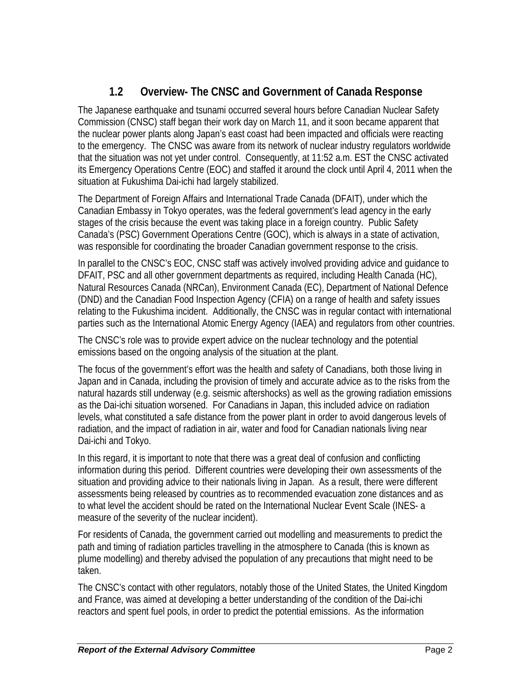## **1.2 Overview- The CNSC and Government of Canada Response**

The Japanese earthquake and tsunami occurred several hours before Canadian Nuclear Safety Commission (CNSC) staff began their work day on March 11, and it soon became apparent that the nuclear power plants along Japan's east coast had been impacted and officials were reacting to the emergency. The CNSC was aware from its network of nuclear industry regulators worldwide that the situation was not yet under control. Consequently, at 11:52 a.m. EST the CNSC activated its Emergency Operations Centre (EOC) and staffed it around the clock until April 4, 2011 when the situation at Fukushima Dai-ichi had largely stabilized.

The Department of Foreign Affairs and International Trade Canada (DFAIT), under which the Canadian Embassy in Tokyo operates, was the federal government's lead agency in the early stages of the crisis because the event was taking place in a foreign country. Public Safety Canada's (PSC) Government Operations Centre (GOC), which is always in a state of activation, was responsible for coordinating the broader Canadian government response to the crisis.

In parallel to the CNSC's EOC, CNSC staff was actively involved providing advice and guidance to DFAIT, PSC and all other government departments as required, including Health Canada (HC), Natural Resources Canada (NRCan), Environment Canada (EC), Department of National Defence (DND) and the Canadian Food Inspection Agency (CFIA) on a range of health and safety issues relating to the Fukushima incident. Additionally, the CNSC was in regular contact with international parties such as the International Atomic Energy Agency (IAEA) and regulators from other countries.

The CNSC's role was to provide expert advice on the nuclear technology and the potential emissions based on the ongoing analysis of the situation at the plant.

The focus of the government's effort was the health and safety of Canadians, both those living in Japan and in Canada, including the provision of timely and accurate advice as to the risks from the natural hazards still underway (e.g. seismic aftershocks) as well as the growing radiation emissions as the Dai-ichi situation worsened. For Canadians in Japan, this included advice on radiation levels, what constituted a safe distance from the power plant in order to avoid dangerous levels of radiation, and the impact of radiation in air, water and food for Canadian nationals living near Dai-ichi and Tokyo.

In this regard, it is important to note that there was a great deal of confusion and conflicting information during this period. Different countries were developing their own assessments of the situation and providing advice to their nationals living in Japan. As a result, there were different assessments being released by countries as to recommended evacuation zone distances and as to what level the accident should be rated on the International Nuclear Event Scale (INES- a measure of the severity of the nuclear incident).

For residents of Canada, the government carried out modelling and measurements to predict the path and timing of radiation particles travelling in the atmosphere to Canada (this is known as plume modelling) and thereby advised the population of any precautions that might need to be taken.

The CNSC's contact with other regulators, notably those of the United States, the United Kingdom and France, was aimed at developing a better understanding of the condition of the Dai-ichi reactors and spent fuel pools, in order to predict the potential emissions. As the information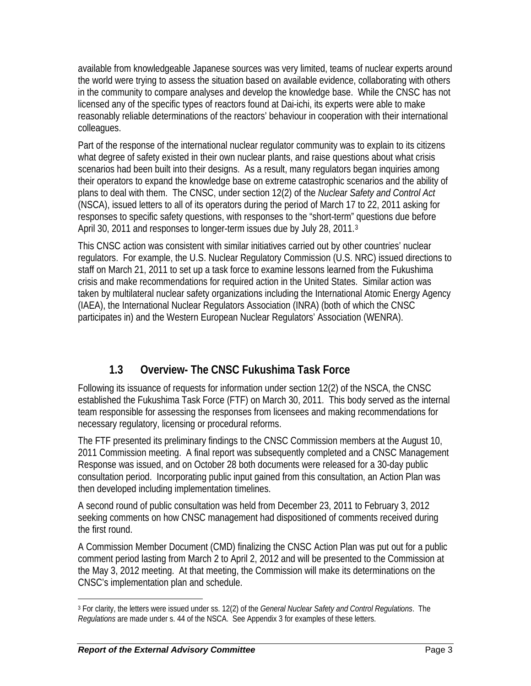available from knowledgeable Japanese sources was very limited, teams of nuclear experts around the world were trying to assess the situation based on available evidence, collaborating with others in the community to compare analyses and develop the knowledge base. While the CNSC has not licensed any of the specific types of reactors found at Dai-ichi, its experts were able to make reasonably reliable determinations of the reactors' behaviour in cooperation with their international colleagues.

Part of the response of the international nuclear regulator community was to explain to its citizens what degree of safety existed in their own nuclear plants, and raise questions about what crisis scenarios had been built into their designs. As a result, many regulators began inquiries among their operators to expand the knowledge base on extreme catastrophic scenarios and the ability of plans to deal with them. The CNSC, under section 12(2) of the *Nuclear Safety and Control Act* (NSCA), issued letters to all of its operators during the period of March 17 to 22, 2011 asking for responses to specific safety questions, with responses to the "short-term" questions due before April [3](#page-9-0)0, 2011 and responses to longer-term issues due by July 28, 2011.<sup>3</sup>

This CNSC action was consistent with similar initiatives carried out by other countries' nuclear regulators. For example, the U.S. Nuclear Regulatory Commission (U.S. NRC) issued directions to staff on March 21, 2011 to set up a task force to examine lessons learned from the Fukushima crisis and make recommendations for required action in the United States. Similar action was taken by multilateral nuclear safety organizations including the International Atomic Energy Agency (IAEA), the International Nuclear Regulators Association (INRA) (both of which the CNSC participates in) and the Western European Nuclear Regulators' Association (WENRA).

## **1.3 Overview- The CNSC Fukushima Task Force**

Following its issuance of requests for information under section 12(2) of the NSCA, the CNSC established the Fukushima Task Force (FTF) on March 30, 2011. This body served as the internal team responsible for assessing the responses from licensees and making recommendations for necessary regulatory, licensing or procedural reforms.

The FTF presented its preliminary findings to the CNSC Commission members at the August 10, 2011 Commission meeting. A final report was subsequently completed and a CNSC Management Response was issued, and on October 28 both documents were released for a 30-day public consultation period. Incorporating public input gained from this consultation, an Action Plan was then developed including implementation timelines.

A second round of public consultation was held from December 23, 2011 to February 3, 2012 seeking comments on how CNSC management had dispositioned of comments received during the first round.

A Commission Member Document (CMD) finalizing the CNSC Action Plan was put out for a public comment period lasting from March 2 to April 2, 2012 and will be presented to the Commission at the May 3, 2012 meeting. At that meeting, the Commission will make its determinations on the CNSC's implementation plan and schedule.

 $\overline{a}$ 

<span id="page-9-0"></span><sup>3</sup> For clarity, the letters were issued under ss. 12(2) of the *General Nuclear Safety and Control Regulations*. The *Regulations* are made under s. 44 of the NSCA. See Appendix 3 for examples of these letters.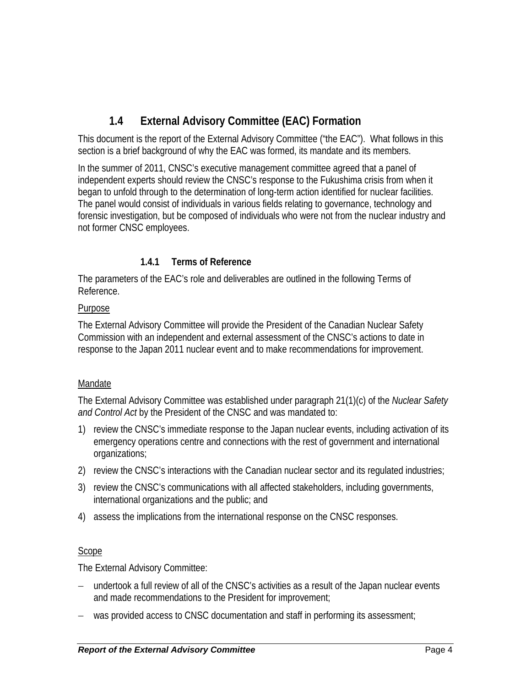## **1.4 External Advisory Committee (EAC) Formation**

This document is the report of the External Advisory Committee ("the EAC"). What follows in this section is a brief background of why the EAC was formed, its mandate and its members.

In the summer of 2011, CNSC's executive management committee agreed that a panel of independent experts should review the CNSC's response to the Fukushima crisis from when it began to unfold through to the determination of long-term action identified for nuclear facilities. The panel would consist of individuals in various fields relating to governance, technology and forensic investigation, but be composed of individuals who were not from the nuclear industry and not former CNSC employees.

## **1.4.1 Terms of Reference**

The parameters of the EAC's role and deliverables are outlined in the following Terms of Reference.

#### Purpose

The External Advisory Committee will provide the President of the Canadian Nuclear Safety Commission with an independent and external assessment of the CNSC's actions to date in response to the Japan 2011 nuclear event and to make recommendations for improvement.

#### Mandate

The External Advisory Committee was established under paragraph 21(1)(c) of the *Nuclear Safety and Control Act* by the President of the CNSC and was mandated to:

- 1) review the CNSC's immediate response to the Japan nuclear events, including activation of its emergency operations centre and connections with the rest of government and international organizations;
- 2) review the CNSC's interactions with the Canadian nuclear sector and its regulated industries;
- 3) review the CNSC's communications with all affected stakeholders, including governments, international organizations and the public; and
- 4) assess the implications from the international response on the CNSC responses.

#### Scope

The External Advisory Committee:

- undertook a full review of all of the CNSC's activities as a result of the Japan nuclear events and made recommendations to the President for improvement;
- − was provided access to CNSC documentation and staff in performing its assessment;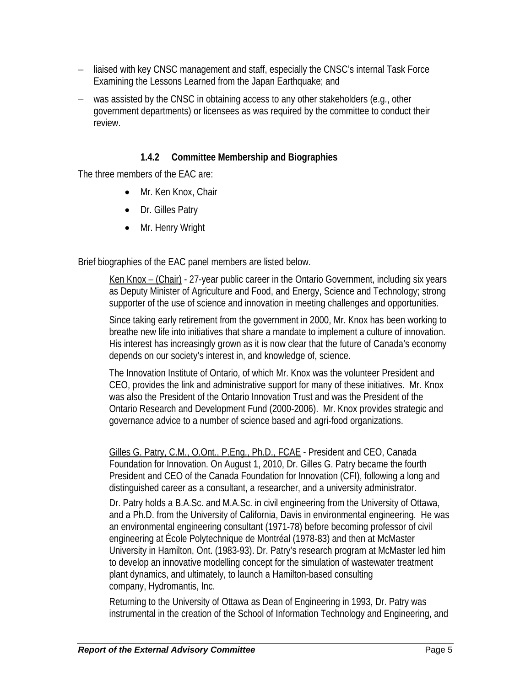- − liaised with key CNSC management and staff, especially the CNSC's internal Task Force Examining the Lessons Learned from the Japan Earthquake; and
- − was assisted by the CNSC in obtaining access to any other stakeholders (e.g., other government departments) or licensees as was required by the committee to conduct their review.

## **1.4.2 Committee Membership and Biographies**

The three members of the EAC are:

- Mr. Ken Knox, Chair
- Dr. Gilles Patry
- Mr. Henry Wright

Brief biographies of the EAC panel members are listed below.

Ken Knox – (Chair) - 27-year public career in the Ontario Government, including six years as Deputy Minister of Agriculture and Food, and Energy, Science and Technology; strong supporter of the use of science and innovation in meeting challenges and opportunities.

Since taking early retirement from the government in 2000, Mr. Knox has been working to breathe new life into initiatives that share a mandate to implement a culture of innovation. His interest has increasingly grown as it is now clear that the future of Canada's economy depends on our society's interest in, and knowledge of, science.

The Innovation Institute of Ontario, of which Mr. Knox was the volunteer President and CEO, provides the link and administrative support for many of these initiatives. Mr. Knox was also the President of the Ontario Innovation Trust and was the President of the Ontario Research and Development Fund (2000-2006). Mr. Knox provides strategic and governance advice to a number of science based and agri-food organizations.

Gilles G. Patry, C.M., O.Ont., P.Eng., Ph.D., FCAE - President and CEO, Canada Foundation for Innovation. On August 1, 2010, Dr. Gilles G. Patry became the fourth President and CEO of the Canada Foundation for Innovation (CFI), following a long and distinguished career as a consultant, a researcher, and a university administrator.

Dr. Patry holds a B.A.Sc. and M.A.Sc. in civil engineering from the University of Ottawa, and a Ph.D. from the University of California, Davis in environmental engineering. He was an environmental engineering consultant (1971-78) before becoming professor of civil engineering at École Polytechnique de Montréal (1978-83) and then at McMaster University in Hamilton, Ont. (1983-93). Dr. Patry's research program at McMaster led him to develop an innovative modelling concept for the simulation of wastewater treatment plant dynamics, and ultimately, to launch a Hamilton-based consulting company, Hydromantis, Inc.

Returning to the University of Ottawa as Dean of Engineering in 1993, Dr. Patry was instrumental in the creation of the School of Information Technology and Engineering, and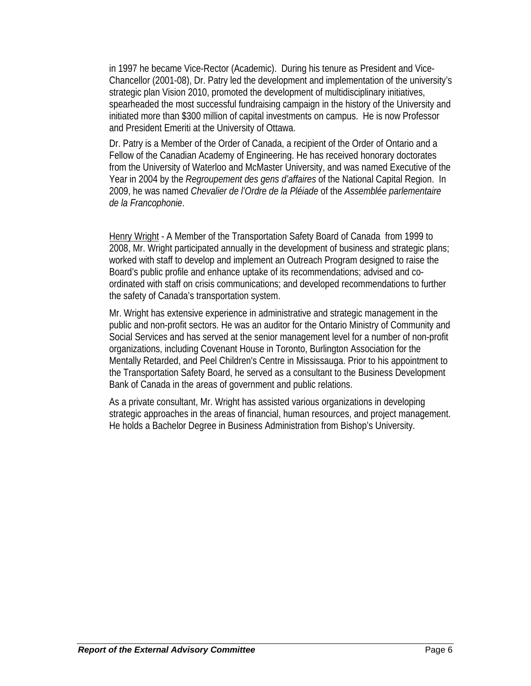in 1997 he became Vice-Rector (Academic). During his tenure as President and Vice-Chancellor (2001-08), Dr. Patry led the development and implementation of the university's strategic plan Vision 2010, promoted the development of multidisciplinary initiatives, spearheaded the most successful fundraising campaign in the history of the University and initiated more than \$300 million of capital investments on campus. He is now Professor and President Emeriti at the University of Ottawa.

Dr. Patry is a Member of the Order of Canada, a recipient of the Order of Ontario and a Fellow of the Canadian Academy of Engineering. He has received honorary doctorates from the University of Waterloo and McMaster University, and was named Executive of the Year in 2004 by the *Regroupement des gens d'affaires* of the National Capital Region. In 2009, he was named *Chevalier de l'Ordre de la Pléiade* of the *Assemblée parlementaire de la Francophonie*.

Henry Wright - A Member of the Transportation Safety Board of Canada from 1999 to 2008, Mr. Wright participated annually in the development of business and strategic plans; worked with staff to develop and implement an Outreach Program designed to raise the Board's public profile and enhance uptake of its recommendations; advised and coordinated with staff on crisis communications; and developed recommendations to further the safety of Canada's transportation system.

Mr. Wright has extensive experience in administrative and strategic management in the public and non-profit sectors. He was an auditor for the Ontario Ministry of Community and Social Services and has served at the senior management level for a number of non-profit organizations, including Covenant House in Toronto, Burlington Association for the Mentally Retarded, and Peel Children's Centre in Mississauga. Prior to his appointment to the Transportation Safety Board, he served as a consultant to the Business Development Bank of Canada in the areas of government and public relations.

As a private consultant, Mr. Wright has assisted various organizations in developing strategic approaches in the areas of financial, human resources, and project management. He holds a Bachelor Degree in Business Administration from Bishop's University.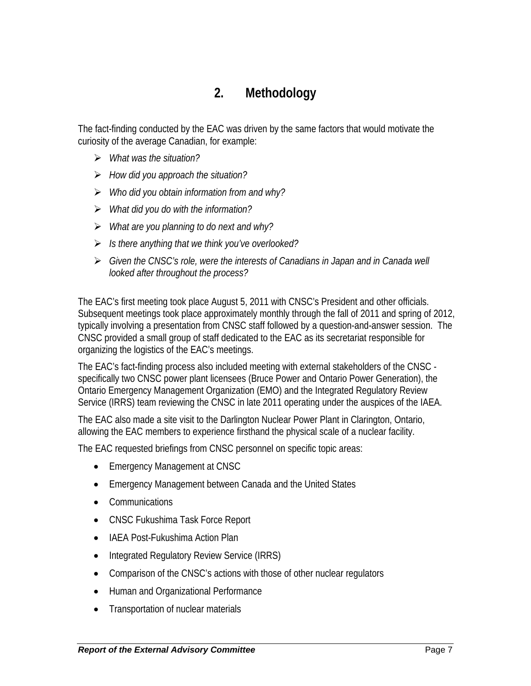# **2. Methodology**

The fact-finding conducted by the EAC was driven by the same factors that would motivate the curiosity of the average Canadian, for example:

- ¾ *What was the situation?*
- ¾ *How did you approach the situation?*
- ¾ *Who did you obtain information from and why?*
- ¾ *What did you do with the information?*
- ¾ *What are you planning to do next and why?*
- ¾ *Is there anything that we think you've overlooked?*
- ¾ *Given the CNSC's role, were the interests of Canadians in Japan and in Canada well looked after throughout the process?*

The EAC's first meeting took place August 5, 2011 with CNSC's President and other officials. Subsequent meetings took place approximately monthly through the fall of 2011 and spring of 2012, typically involving a presentation from CNSC staff followed by a question-and-answer session. The CNSC provided a small group of staff dedicated to the EAC as its secretariat responsible for organizing the logistics of the EAC's meetings.

The EAC's fact-finding process also included meeting with external stakeholders of the CNSC specifically two CNSC power plant licensees (Bruce Power and Ontario Power Generation), the Ontario Emergency Management Organization (EMO) and the Integrated Regulatory Review Service (IRRS) team reviewing the CNSC in late 2011 operating under the auspices of the IAEA.

The EAC also made a site visit to the Darlington Nuclear Power Plant in Clarington, Ontario, allowing the EAC members to experience firsthand the physical scale of a nuclear facility.

The EAC requested briefings from CNSC personnel on specific topic areas:

- Emergency Management at CNSC
- Emergency Management between Canada and the United States
- Communications
- CNSC Fukushima Task Force Report
- IAEA Post-Fukushima Action Plan
- Integrated Regulatory Review Service (IRRS)
- Comparison of the CNSC's actions with those of other nuclear regulators
- Human and Organizational Performance
- Transportation of nuclear materials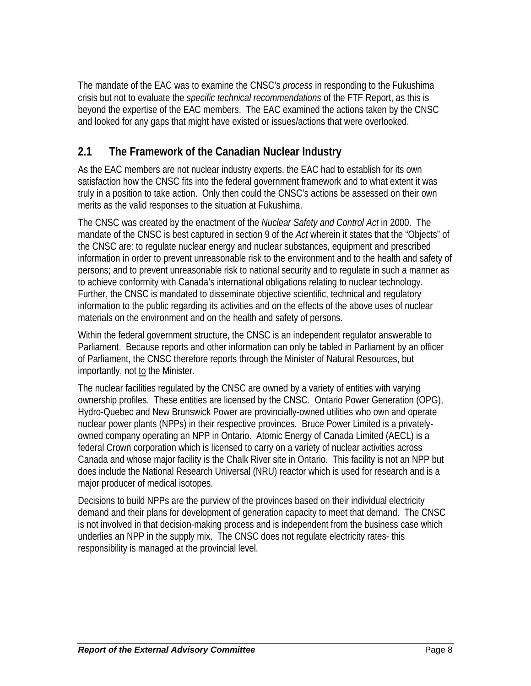The mandate of the EAC was to examine the CNSC's *process* in responding to the Fukushima crisis but not to evaluate the *specific technical recommendations* of the FTF Report, as this is beyond the expertise of the EAC members. The EAC examined the actions taken by the CNSC and looked for any gaps that might have existed or issues/actions that were overlooked.

## **2.1 The Framework of the Canadian Nuclear Industry**

As the EAC members are not nuclear industry experts, the EAC had to establish for its own satisfaction how the CNSC fits into the federal government framework and to what extent it was truly in a position to take action. Only then could the CNSC's actions be assessed on their own merits as the valid responses to the situation at Fukushima.

The CNSC was created by the enactment of the *Nuclear Safety and Control Act* in 2000. The mandate of the CNSC is best captured in section 9 of the *Act* wherein it states that the "Objects" of the CNSC are: to regulate nuclear energy and nuclear substances, equipment and prescribed information in order to prevent unreasonable risk to the environment and to the health and safety of persons; and to prevent unreasonable risk to national security and to regulate in such a manner as to achieve conformity with Canada's international obligations relating to nuclear technology. Further, the CNSC is mandated to disseminate objective scientific, technical and regulatory information to the public regarding its activities and on the effects of the above uses of nuclear materials on the environment and on the health and safety of persons.

Within the federal government structure, the CNSC is an independent regulator answerable to Parliament. Because reports and other information can only be tabled in Parliament by an officer of Parliament, the CNSC therefore reports through the Minister of Natural Resources, but importantly, not to the Minister.

The nuclear facilities regulated by the CNSC are owned by a variety of entities with varying ownership profiles. These entities are licensed by the CNSC. Ontario Power Generation (OPG), Hydro-Quebec and New Brunswick Power are provincially-owned utilities who own and operate nuclear power plants (NPPs) in their respective provinces. Bruce Power Limited is a privatelyowned company operating an NPP in Ontario. Atomic Energy of Canada Limited (AECL) is a federal Crown corporation which is licensed to carry on a variety of nuclear activities across Canada and whose major facility is the Chalk River site in Ontario. This facility is not an NPP but does include the National Research Universal (NRU) reactor which is used for research and is a major producer of medical isotopes.

Decisions to build NPPs are the purview of the provinces based on their individual electricity demand and their plans for development of generation capacity to meet that demand. The CNSC is not involved in that decision-making process and is independent from the business case which underlies an NPP in the supply mix. The CNSC does not regulate electricity rates- this responsibility is managed at the provincial level.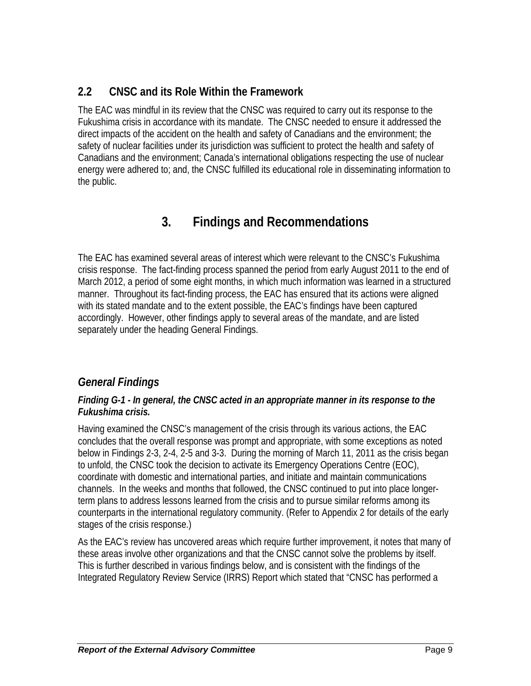## **2.2 CNSC and its Role Within the Framework**

The EAC was mindful in its review that the CNSC was required to carry out its response to the Fukushima crisis in accordance with its mandate. The CNSC needed to ensure it addressed the direct impacts of the accident on the health and safety of Canadians and the environment; the safety of nuclear facilities under its jurisdiction was sufficient to protect the health and safety of Canadians and the environment; Canada's international obligations respecting the use of nuclear energy were adhered to; and, the CNSC fulfilled its educational role in disseminating information to the public.

# **3. Findings and Recommendations**

The EAC has examined several areas of interest which were relevant to the CNSC's Fukushima crisis response. The fact-finding process spanned the period from early August 2011 to the end of March 2012, a period of some eight months, in which much information was learned in a structured manner. Throughout its fact-finding process, the EAC has ensured that its actions were aligned with its stated mandate and to the extent possible, the EAC's findings have been captured accordingly. However, other findings apply to several areas of the mandate, and are listed separately under the heading General Findings.

## *General Findings*

#### *Finding G-1 - In general, the CNSC acted in an appropriate manner in its response to the Fukushima crisis.*

Having examined the CNSC's management of the crisis through its various actions, the EAC concludes that the overall response was prompt and appropriate, with some exceptions as noted below in Findings 2-3, 2-4, 2-5 and 3-3. During the morning of March 11, 2011 as the crisis began to unfold, the CNSC took the decision to activate its Emergency Operations Centre (EOC), coordinate with domestic and international parties, and initiate and maintain communications channels. In the weeks and months that followed, the CNSC continued to put into place longerterm plans to address lessons learned from the crisis and to pursue similar reforms among its counterparts in the international regulatory community. (Refer to Appendix 2 for details of the early stages of the crisis response.)

As the EAC's review has uncovered areas which require further improvement, it notes that many of these areas involve other organizations and that the CNSC cannot solve the problems by itself. This is further described in various findings below, and is consistent with the findings of the Integrated Regulatory Review Service (IRRS) Report which stated that "CNSC has performed a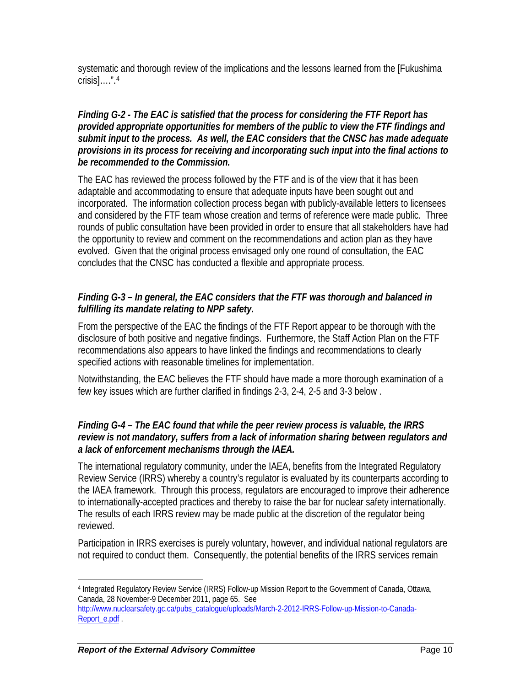systematic and thorough review of the implications and the lessons learned from the [Fukushima crisis]….".[4](#page-16-0)

#### *Finding G-2 - The EAC is satisfied that the process for considering the FTF Report has provided appropriate opportunities for members of the public to view the FTF findings and submit input to the process. As well, the EAC considers that the CNSC has made adequate provisions in its process for receiving and incorporating such input into the final actions to be recommended to the Commission.*

The EAC has reviewed the process followed by the FTF and is of the view that it has been adaptable and accommodating to ensure that adequate inputs have been sought out and incorporated. The information collection process began with publicly-available letters to licensees and considered by the FTF team whose creation and terms of reference were made public. Three rounds of public consultation have been provided in order to ensure that all stakeholders have had the opportunity to review and comment on the recommendations and action plan as they have evolved. Given that the original process envisaged only one round of consultation, the EAC concludes that the CNSC has conducted a flexible and appropriate process.

#### *Finding G-3 – In general, the EAC considers that the FTF was thorough and balanced in fulfilling its mandate relating to NPP safety.*

From the perspective of the EAC the findings of the FTF Report appear to be thorough with the disclosure of both positive and negative findings. Furthermore, the Staff Action Plan on the FTF recommendations also appears to have linked the findings and recommendations to clearly specified actions with reasonable timelines for implementation.

Notwithstanding, the EAC believes the FTF should have made a more thorough examination of a few key issues which are further clarified in findings 2-3, 2-4, 2-5 and 3-3 below .

#### *Finding G-4 – The EAC found that while the peer review process is valuable, the IRRS review is not mandatory, suffers from a lack of information sharing between regulators and a lack of enforcement mechanisms through the IAEA.*

The international regulatory community, under the IAEA, benefits from the Integrated Regulatory Review Service (IRRS) whereby a country's regulator is evaluated by its counterparts according to the IAEA framework. Through this process, regulators are encouraged to improve their adherence to internationally-accepted practices and thereby to raise the bar for nuclear safety internationally. The results of each IRRS review may be made public at the discretion of the regulator being reviewed.

Participation in IRRS exercises is purely voluntary, however, and individual national regulators are not required to conduct them. Consequently, the potential benefits of the IRRS services remain

1

<span id="page-16-0"></span><sup>4</sup> Integrated Regulatory Review Service (IRRS) Follow-up Mission Report to the Government of Canada, Ottawa, Canada, 28 November-9 December 2011, page 65. See [http://www.nuclearsafety.gc.ca/pubs\\_catalogue/uploads/March-2-2012-IRRS-Follow-up-Mission-to-Canada-](http://www.nuclearsafety.gc.ca/pubs_catalogue/uploads/March-2-2012-IRRS-Follow-up-Mission-to-Canada-Report_e.pdf)[Report\\_e.pdf](http://www.nuclearsafety.gc.ca/pubs_catalogue/uploads/March-2-2012-IRRS-Follow-up-Mission-to-Canada-Report_e.pdf) .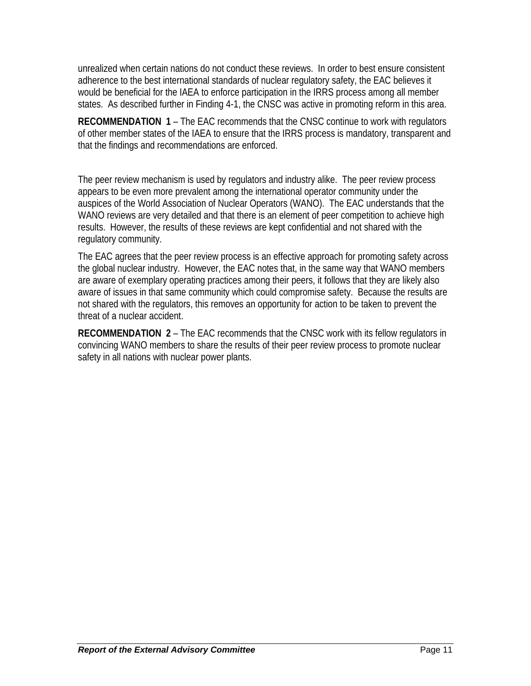unrealized when certain nations do not conduct these reviews. In order to best ensure consistent adherence to the best international standards of nuclear regulatory safety, the EAC believes it would be beneficial for the IAEA to enforce participation in the IRRS process among all member states. As described further in Finding 4-1, the CNSC was active in promoting reform in this area.

**RECOMMENDATION 1** – The EAC recommends that the CNSC continue to work with regulators of other member states of the IAEA to ensure that the IRRS process is mandatory, transparent and that the findings and recommendations are enforced.

The peer review mechanism is used by regulators and industry alike. The peer review process appears to be even more prevalent among the international operator community under the auspices of the World Association of Nuclear Operators (WANO). The EAC understands that the WANO reviews are very detailed and that there is an element of peer competition to achieve high results. However, the results of these reviews are kept confidential and not shared with the regulatory community.

The EAC agrees that the peer review process is an effective approach for promoting safety across the global nuclear industry. However, the EAC notes that, in the same way that WANO members are aware of exemplary operating practices among their peers, it follows that they are likely also aware of issues in that same community which could compromise safety. Because the results are not shared with the regulators, this removes an opportunity for action to be taken to prevent the threat of a nuclear accident.

**RECOMMENDATION 2** – The EAC recommends that the CNSC work with its fellow regulators in convincing WANO members to share the results of their peer review process to promote nuclear safety in all nations with nuclear power plants.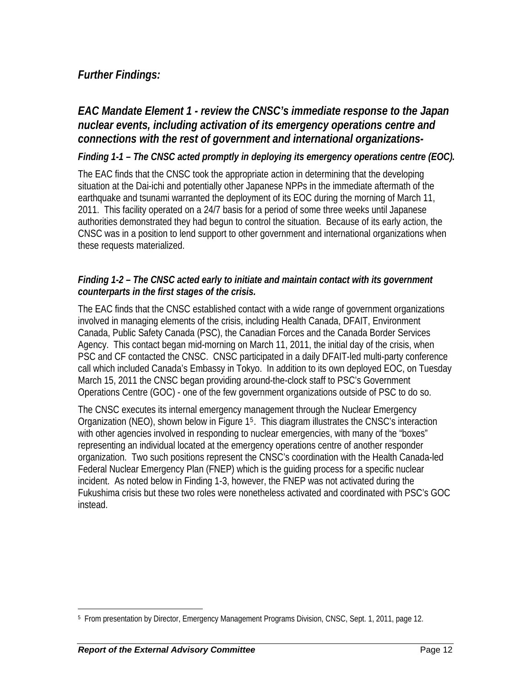## *Further Findings:*

## *EAC Mandate Element 1 - review the CNSC's immediate response to the Japan nuclear events, including activation of its emergency operations centre and connections with the rest of government and international organizations-*

#### *Finding 1-1 – The CNSC acted promptly in deploying its emergency operations centre (EOC).*

The EAC finds that the CNSC took the appropriate action in determining that the developing situation at the Dai-ichi and potentially other Japanese NPPs in the immediate aftermath of the earthquake and tsunami warranted the deployment of its EOC during the morning of March 11, 2011. This facility operated on a 24/7 basis for a period of some three weeks until Japanese authorities demonstrated they had begun to control the situation. Because of its early action, the CNSC was in a position to lend support to other government and international organizations when these requests materialized.

#### *Finding 1-2 – The CNSC acted early to initiate and maintain contact with its government counterparts in the first stages of the crisis.*

The EAC finds that the CNSC established contact with a wide range of government organizations involved in managing elements of the crisis, including Health Canada, DFAIT, Environment Canada, Public Safety Canada (PSC), the Canadian Forces and the Canada Border Services Agency. This contact began mid-morning on March 11, 2011, the initial day of the crisis, when PSC and CF contacted the CNSC. CNSC participated in a daily DFAIT-led multi-party conference call which included Canada's Embassy in Tokyo. In addition to its own deployed EOC, on Tuesday March 15, 2011 the CNSC began providing around-the-clock staff to PSC's Government Operations Centre (GOC) - one of the few government organizations outside of PSC to do so.

The CNSC executes its internal emergency management through the Nuclear Emergency Organization (NEO), shown below in Figure 1[5](#page-18-0). This diagram illustrates the CNSC's interaction with other agencies involved in responding to nuclear emergencies, with many of the "boxes" representing an individual located at the emergency operations centre of another responder organization. Two such positions represent the CNSC's coordination with the Health Canada-led Federal Nuclear Emergency Plan (FNEP) which is the guiding process for a specific nuclear incident. As noted below in Finding 1-3, however, the FNEP was not activated during the Fukushima crisis but these two roles were nonetheless activated and coordinated with PSC's GOC instead.

<span id="page-18-0"></span> $\overline{a}$ 5 From presentation by Director, Emergency Management Programs Division, CNSC, Sept. 1, 2011, page 12.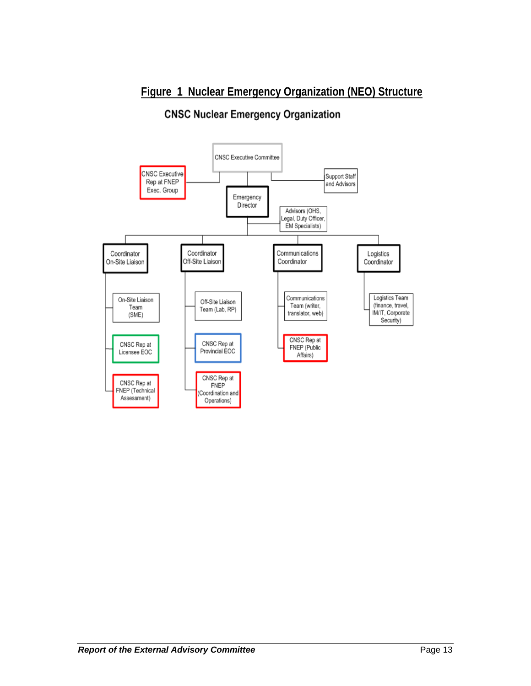## **Figure 1 Nuclear Emergency Organization (NEO) Structure**

# **CNSC Nuclear Emergency Organization**

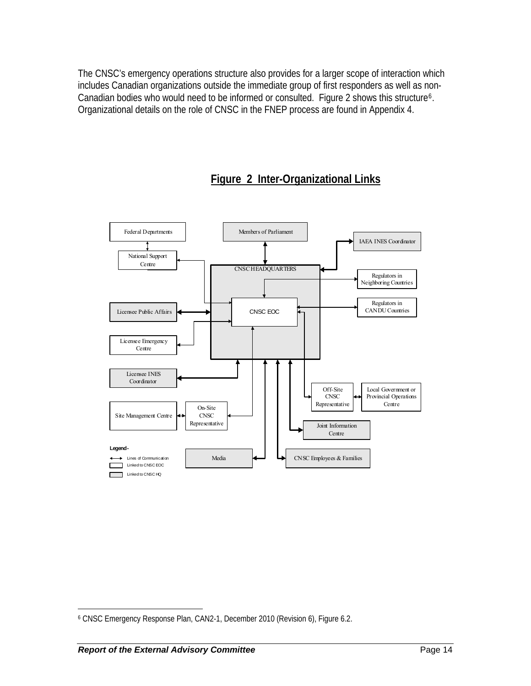The CNSC's emergency operations structure also provides for a larger scope of interaction which includes Canadian organizations outside the immediate group of first responders as well as non-Canadian bodies who would need to be informed or consulted. Figure 2 shows this structure<sup>[6](#page-20-0)</sup>. Organizational details on the role of CNSC in the FNEP process are found in Appendix 4.



# **Figure 2 Inter-Organizational Links**

 $\overline{a}$ 

<span id="page-20-0"></span><sup>6</sup> CNSC Emergency Response Plan, CAN2-1, December 2010 (Revision 6), Figure 6.2.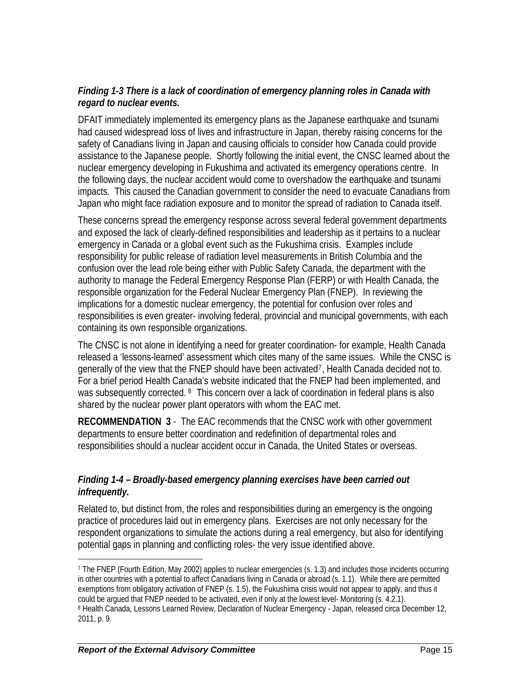#### *Finding 1-3 There is a lack of coordination of emergency planning roles in Canada with regard to nuclear events.*

DFAIT immediately implemented its emergency plans as the Japanese earthquake and tsunami had caused widespread loss of lives and infrastructure in Japan, thereby raising concerns for the safety of Canadians living in Japan and causing officials to consider how Canada could provide assistance to the Japanese people. Shortly following the initial event, the CNSC learned about the nuclear emergency developing in Fukushima and activated its emergency operations centre. In the following days, the nuclear accident would come to overshadow the earthquake and tsunami impacts. This caused the Canadian government to consider the need to evacuate Canadians from Japan who might face radiation exposure and to monitor the spread of radiation to Canada itself.

These concerns spread the emergency response across several federal government departments and exposed the lack of clearly-defined responsibilities and leadership as it pertains to a nuclear emergency in Canada or a global event such as the Fukushima crisis. Examples include responsibility for public release of radiation level measurements in British Columbia and the confusion over the lead role being either with Public Safety Canada, the department with the authority to manage the Federal Emergency Response Plan (FERP) or with Health Canada, the responsible organization for the Federal Nuclear Emergency Plan (FNEP). In reviewing the implications for a domestic nuclear emergency, the potential for confusion over roles and responsibilities is even greater- involving federal, provincial and municipal governments, with each containing its own responsible organizations.

The CNSC is not alone in identifying a need for greater coordination- for example, Health Canada released a 'lessons-learned' assessment which cites many of the same issues. While the CNSC is generally of the view that the FNEP should have been activated[7](#page-21-0), Health Canada decided not to. For a brief period Health Canada's website indicated that the FNEP had been implemented, and was subsequently corrected. <sup>[8](#page-21-1)</sup> This concern over a lack of coordination in federal plans is also shared by the nuclear power plant operators with whom the EAC met.

**RECOMMENDATION 3** - The EAC recommends that the CNSC work with other government departments to ensure better coordination and redefinition of departmental roles and responsibilities should a nuclear accident occur in Canada, the United States or overseas.

#### *Finding 1-4 – Broadly-based emergency planning exercises have been carried out infrequently.*

Related to, but distinct from, the roles and responsibilities during an emergency is the ongoing practice of procedures laid out in emergency plans. Exercises are not only necessary for the respondent organizations to simulate the actions during a real emergency, but also for identifying potential gaps in planning and conflicting roles- the very issue identified above.

 $\overline{a}$ 

<span id="page-21-1"></span><span id="page-21-0"></span><sup>7</sup> The FNEP (Fourth Edition, May 2002) applies to nuclear emergencies (s. 1.3) and includes those incidents occurring in other countries with a potential to affect Canadians living in Canada or abroad (s. 1.1). While there are permitted exemptions from obligatory activation of FNEP (s. 1.5), the Fukushima crisis would not appear to apply, and thus it could be argued that FNEP needed to be activated, even if only at the lowest level- Monitoring (s. 4.2.1). <sup>8</sup> Health Canada, Lessons Learned Review, Declaration of Nuclear Emergency - Japan, released circa December 12, 2011, p. 9.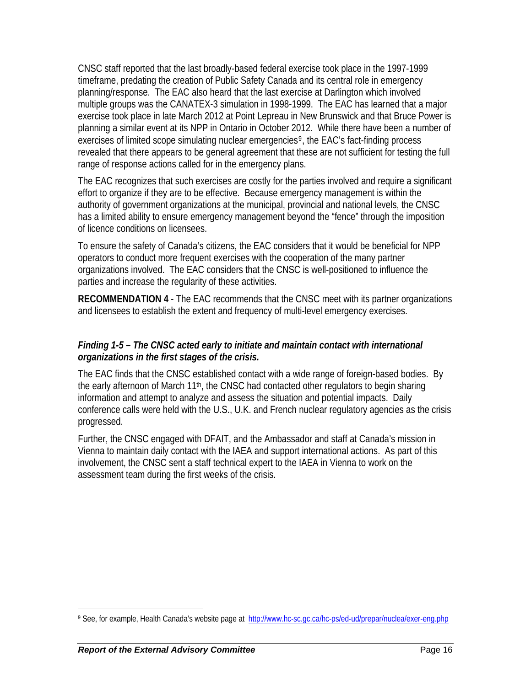CNSC staff reported that the last broadly-based federal exercise took place in the 1997-1999 timeframe, predating the creation of Public Safety Canada and its central role in emergency planning/response. The EAC also heard that the last exercise at Darlington which involved multiple groups was the CANATEX-3 simulation in 1998-1999. The EAC has learned that a major exercise took place in late March 2012 at Point Lepreau in New Brunswick and that Bruce Power is planning a similar event at its NPP in Ontario in October 2012. While there have been a number of exercises of limited scope simulating nuclear emergencies<sup>[9](#page-22-0)</sup>, the EAC's fact-finding process revealed that there appears to be general agreement that these are not sufficient for testing the full range of response actions called for in the emergency plans.

The EAC recognizes that such exercises are costly for the parties involved and require a significant effort to organize if they are to be effective. Because emergency management is within the authority of government organizations at the municipal, provincial and national levels, the CNSC has a limited ability to ensure emergency management beyond the "fence" through the imposition of licence conditions on licensees.

To ensure the safety of Canada's citizens, the EAC considers that it would be beneficial for NPP operators to conduct more frequent exercises with the cooperation of the many partner organizations involved. The EAC considers that the CNSC is well-positioned to influence the parties and increase the regularity of these activities.

**RECOMMENDATION 4** - The EAC recommends that the CNSC meet with its partner organizations and licensees to establish the extent and frequency of multi-level emergency exercises.

## *Finding 1-5 – The CNSC acted early to initiate and maintain contact with international organizations in the first stages of the crisis.*

The EAC finds that the CNSC established contact with a wide range of foreign-based bodies. By the early afternoon of March 11<sup>th</sup>, the CNSC had contacted other regulators to begin sharing information and attempt to analyze and assess the situation and potential impacts. Daily conference calls were held with the U.S., U.K. and French nuclear regulatory agencies as the crisis progressed.

Further, the CNSC engaged with DFAIT, and the Ambassador and staff at Canada's mission in Vienna to maintain daily contact with the IAEA and support international actions. As part of this involvement, the CNSC sent a staff technical expert to the IAEA in Vienna to work on the assessment team during the first weeks of the crisis.

<span id="page-22-0"></span><sup>1</sup> 9 See, for example, Health Canada's website page at <http://www.hc-sc.gc.ca/hc-ps/ed-ud/prepar/nuclea/exer-eng.php>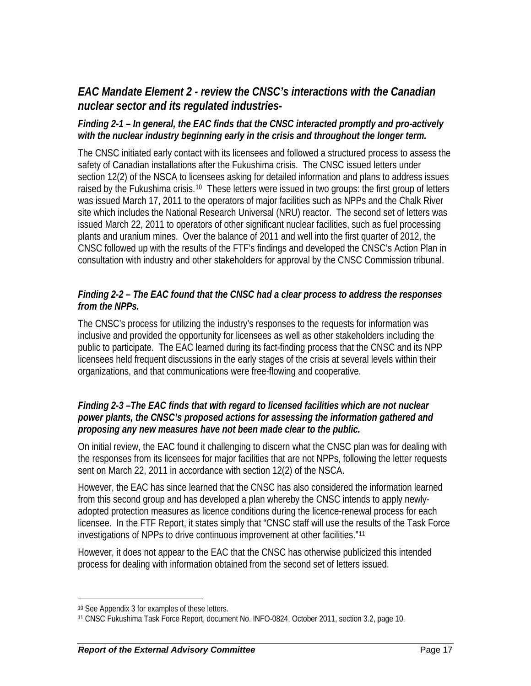## *EAC Mandate Element 2 - review the CNSC's interactions with the Canadian nuclear sector and its regulated industries-*

#### *Finding 2-1 – In general, the EAC finds that the CNSC interacted promptly and pro-actively with the nuclear industry beginning early in the crisis and throughout the longer term.*

The CNSC initiated early contact with its licensees and followed a structured process to assess the safety of Canadian installations after the Fukushima crisis. The CNSC issued letters under section 12(2) of the NSCA to licensees asking for detailed information and plans to address issues raised by the Fukushima crisis.<sup>[10](#page-23-0)</sup> These letters were issued in two groups: the first group of letters was issued March 17, 2011 to the operators of major facilities such as NPPs and the Chalk River site which includes the National Research Universal (NRU) reactor. The second set of letters was issued March 22, 2011 to operators of other significant nuclear facilities, such as fuel processing plants and uranium mines. Over the balance of 2011 and well into the first quarter of 2012, the CNSC followed up with the results of the FTF's findings and developed the CNSC's Action Plan in consultation with industry and other stakeholders for approval by the CNSC Commission tribunal.

#### *Finding 2-2 – The EAC found that the CNSC had a clear process to address the responses from the NPPs.*

The CNSC's process for utilizing the industry's responses to the requests for information was inclusive and provided the opportunity for licensees as well as other stakeholders including the public to participate. The EAC learned during its fact-finding process that the CNSC and its NPP licensees held frequent discussions in the early stages of the crisis at several levels within their organizations, and that communications were free-flowing and cooperative.

#### *Finding 2-3 –The EAC finds that with regard to licensed facilities which are not nuclear power plants, the CNSC's proposed actions for assessing the information gathered and proposing any new measures have not been made clear to the public.*

On initial review, the EAC found it challenging to discern what the CNSC plan was for dealing with the responses from its licensees for major facilities that are not NPPs, following the letter requests sent on March 22, 2011 in accordance with section 12(2) of the NSCA.

However, the EAC has since learned that the CNSC has also considered the information learned from this second group and has developed a plan whereby the CNSC intends to apply newlyadopted protection measures as licence conditions during the licence-renewal process for each licensee. In the FTF Report, it states simply that "CNSC staff will use the results of the Task Force investigations of NPPs to drive continuous improvement at other facilities."[11](#page-23-1)

However, it does not appear to the EAC that the CNSC has otherwise publicized this intended process for dealing with information obtained from the second set of letters issued.

 $\overline{a}$ 

<span id="page-23-0"></span><sup>10</sup> See Appendix 3 for examples of these letters.

<span id="page-23-1"></span><sup>11</sup> CNSC Fukushima Task Force Report, document No. INFO-0824, October 2011, section 3.2, page 10.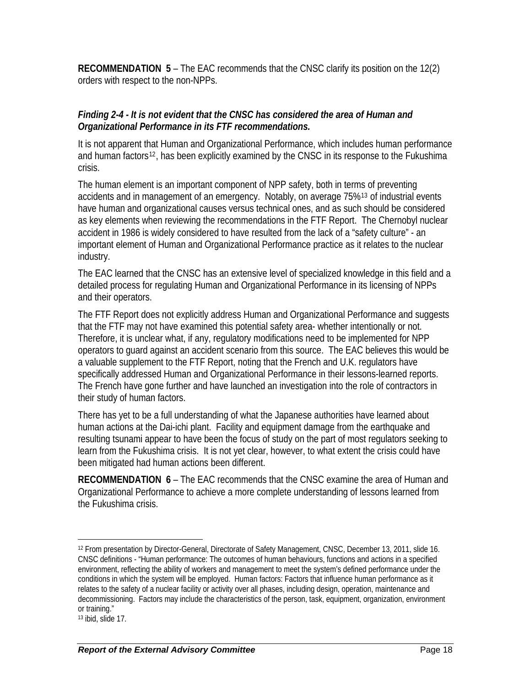**RECOMMENDATION 5** – The EAC recommends that the CNSC clarify its position on the 12(2) orders with respect to the non-NPPs.

#### *Finding 2-4 - It is not evident that the CNSC has considered the area of Human and Organizational Performance in its FTF recommendations.*

It is not apparent that Human and Organizational Performance, which includes human performance and human factors<sup>[12](#page-24-0)</sup>, has been explicitly examined by the CNSC in its response to the Fukushima crisis.

The human element is an important component of NPP safety, both in terms of preventing accidents and in management of an emergency. Notably, on average 75%[13](#page-24-1) of industrial events have human and organizational causes versus technical ones, and as such should be considered as key elements when reviewing the recommendations in the FTF Report. The Chernobyl nuclear accident in 1986 is widely considered to have resulted from the lack of a "safety culture" - an important element of Human and Organizational Performance practice as it relates to the nuclear industry.

The EAC learned that the CNSC has an extensive level of specialized knowledge in this field and a detailed process for regulating Human and Organizational Performance in its licensing of NPPs and their operators.

The FTF Report does not explicitly address Human and Organizational Performance and suggests that the FTF may not have examined this potential safety area- whether intentionally or not. Therefore, it is unclear what, if any, regulatory modifications need to be implemented for NPP operators to guard against an accident scenario from this source. The EAC believes this would be a valuable supplement to the FTF Report, noting that the French and U.K. regulators have specifically addressed Human and Organizational Performance in their lessons-learned reports. The French have gone further and have launched an investigation into the role of contractors in their study of human factors.

There has yet to be a full understanding of what the Japanese authorities have learned about human actions at the Dai-ichi plant. Facility and equipment damage from the earthquake and resulting tsunami appear to have been the focus of study on the part of most regulators seeking to learn from the Fukushima crisis. It is not yet clear, however, to what extent the crisis could have been mitigated had human actions been different.

**RECOMMENDATION 6** – The EAC recommends that the CNSC examine the area of Human and Organizational Performance to achieve a more complete understanding of lessons learned from the Fukushima crisis.

 $\overline{a}$ 

<span id="page-24-0"></span><sup>12</sup> From presentation by Director-General, Directorate of Safety Management, CNSC, December 13, 2011, slide 16. CNSC definitions - "Human performance: The outcomes of human behaviours, functions and actions in a specified environment, reflecting the ability of workers and management to meet the system's defined performance under the conditions in which the system will be employed. Human factors: Factors that influence human performance as it relates to the safety of a nuclear facility or activity over all phases, including design, operation, maintenance and decommissioning. Factors may include the characteristics of the person, task, equipment, organization, environment or training."

<span id="page-24-1"></span><sup>13</sup> ibid, slide 17.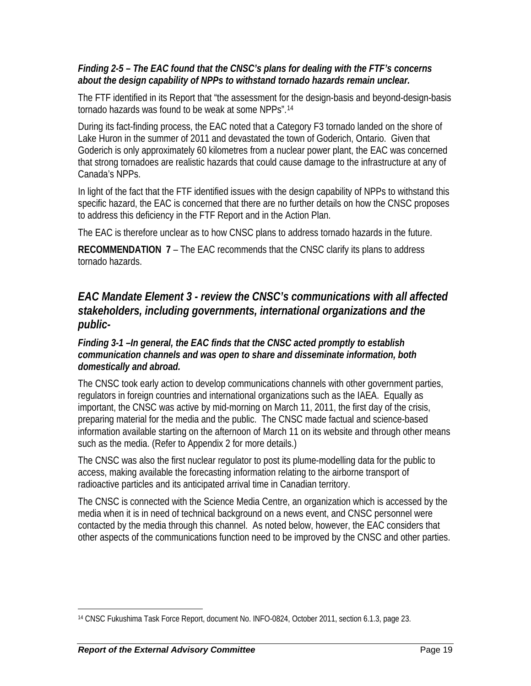#### *Finding 2-5 – The EAC found that the CNSC's plans for dealing with the FTF's concerns about the design capability of NPPs to withstand tornado hazards remain unclear.*

The FTF identified in its Report that "the assessment for the design-basis and beyond-design-basis tornado hazards was found to be weak at some NPPs".[14](#page-25-0)

During its fact-finding process, the EAC noted that a Category F3 tornado landed on the shore of Lake Huron in the summer of 2011 and devastated the town of Goderich, Ontario. Given that Goderich is only approximately 60 kilometres from a nuclear power plant, the EAC was concerned that strong tornadoes are realistic hazards that could cause damage to the infrastructure at any of Canada's NPPs.

In light of the fact that the FTF identified issues with the design capability of NPPs to withstand this specific hazard, the EAC is concerned that there are no further details on how the CNSC proposes to address this deficiency in the FTF Report and in the Action Plan.

The EAC is therefore unclear as to how CNSC plans to address tornado hazards in the future.

**RECOMMENDATION 7** – The EAC recommends that the CNSC clarify its plans to address tornado hazards.

## *EAC Mandate Element 3 - review the CNSC's communications with all affected stakeholders, including governments, international organizations and the public-*

#### *Finding 3-1 –In general, the EAC finds that the CNSC acted promptly to establish communication channels and was open to share and disseminate information, both domestically and abroad.*

The CNSC took early action to develop communications channels with other government parties, regulators in foreign countries and international organizations such as the IAEA. Equally as important, the CNSC was active by mid-morning on March 11, 2011, the first day of the crisis, preparing material for the media and the public. The CNSC made factual and science-based information available starting on the afternoon of March 11 on its website and through other means such as the media. (Refer to Appendix 2 for more details.)

The CNSC was also the first nuclear regulator to post its plume-modelling data for the public to access, making available the forecasting information relating to the airborne transport of radioactive particles and its anticipated arrival time in Canadian territory.

The CNSC is connected with the Science Media Centre, an organization which is accessed by the media when it is in need of technical background on a news event, and CNSC personnel were contacted by the media through this channel. As noted below, however, the EAC considers that other aspects of the communications function need to be improved by the CNSC and other parties.

<span id="page-25-0"></span><sup>1</sup> 14 CNSC Fukushima Task Force Report, document No. INFO-0824, October 2011, section 6.1.3, page 23.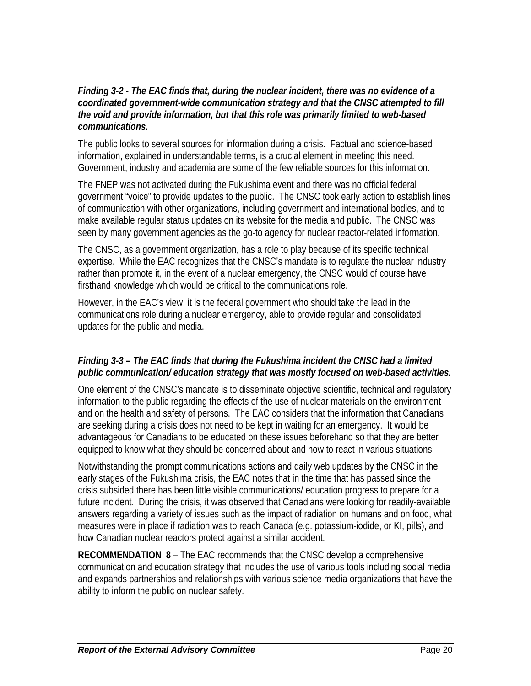#### *Finding 3-2 - The EAC finds that, during the nuclear incident, there was no evidence of a coordinated government-wide communication strategy and that the CNSC attempted to fill the void and provide information, but that this role was primarily limited to web-based communications.*

The public looks to several sources for information during a crisis. Factual and science-based information, explained in understandable terms, is a crucial element in meeting this need. Government, industry and academia are some of the few reliable sources for this information.

The FNEP was not activated during the Fukushima event and there was no official federal government "voice" to provide updates to the public. The CNSC took early action to establish lines of communication with other organizations, including government and international bodies, and to make available regular status updates on its website for the media and public. The CNSC was seen by many government agencies as the go-to agency for nuclear reactor-related information.

The CNSC, as a government organization, has a role to play because of its specific technical expertise. While the EAC recognizes that the CNSC's mandate is to regulate the nuclear industry rather than promote it, in the event of a nuclear emergency, the CNSC would of course have firsthand knowledge which would be critical to the communications role.

However, in the EAC's view, it is the federal government who should take the lead in the communications role during a nuclear emergency, able to provide regular and consolidated updates for the public and media.

#### *Finding 3-3 – The EAC finds that during the Fukushima incident the CNSC had a limited public communication/ education strategy that was mostly focused on web-based activities.*

One element of the CNSC's mandate is to disseminate objective scientific, technical and regulatory information to the public regarding the effects of the use of nuclear materials on the environment and on the health and safety of persons. The EAC considers that the information that Canadians are seeking during a crisis does not need to be kept in waiting for an emergency. It would be advantageous for Canadians to be educated on these issues beforehand so that they are better equipped to know what they should be concerned about and how to react in various situations.

Notwithstanding the prompt communications actions and daily web updates by the CNSC in the early stages of the Fukushima crisis, the EAC notes that in the time that has passed since the crisis subsided there has been little visible communications/ education progress to prepare for a future incident. During the crisis, it was observed that Canadians were looking for readily-available answers regarding a variety of issues such as the impact of radiation on humans and on food, what measures were in place if radiation was to reach Canada (e.g. potassium-iodide, or KI, pills), and how Canadian nuclear reactors protect against a similar accident.

**RECOMMENDATION 8** – The EAC recommends that the CNSC develop a comprehensive communication and education strategy that includes the use of various tools including social media and expands partnerships and relationships with various science media organizations that have the ability to inform the public on nuclear safety.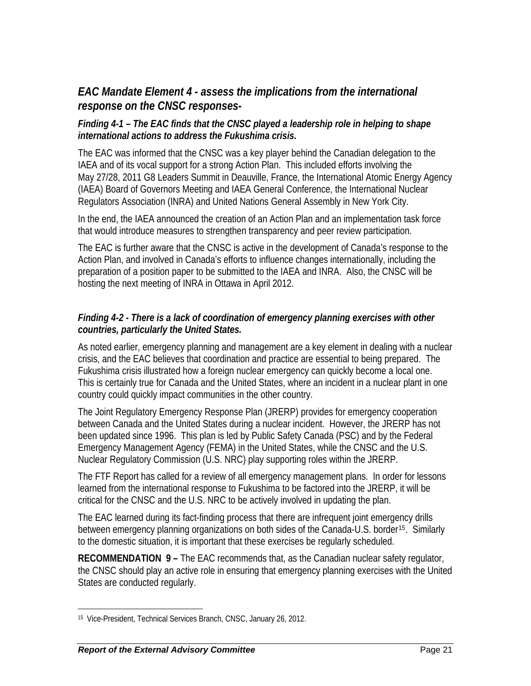## *EAC Mandate Element 4 - assess the implications from the international response on the CNSC responses-*

#### *Finding 4-1 – The EAC finds that the CNSC played a leadership role in helping to shape international actions to address the Fukushima crisis.*

The EAC was informed that the CNSC was a key player behind the Canadian delegation to the IAEA and of its vocal support for a strong Action Plan. This included efforts involving the May 27/28, 2011 G8 Leaders Summit in Deauville, France, the International Atomic Energy Agency (IAEA) Board of Governors Meeting and IAEA General Conference, the International Nuclear Regulators Association (INRA) and United Nations General Assembly in New York City.

In the end, the IAEA announced the creation of an Action Plan and an implementation task force that would introduce measures to strengthen transparency and peer review participation.

The EAC is further aware that the CNSC is active in the development of Canada's response to the Action Plan, and involved in Canada's efforts to influence changes internationally, including the preparation of a position paper to be submitted to the IAEA and INRA. Also, the CNSC will be hosting the next meeting of INRA in Ottawa in April 2012.

#### *Finding 4-2 - There is a lack of coordination of emergency planning exercises with other countries, particularly the United States.*

As noted earlier, emergency planning and management are a key element in dealing with a nuclear crisis, and the EAC believes that coordination and practice are essential to being prepared. The Fukushima crisis illustrated how a foreign nuclear emergency can quickly become a local one. This is certainly true for Canada and the United States, where an incident in a nuclear plant in one country could quickly impact communities in the other country.

The Joint Regulatory Emergency Response Plan (JRERP) provides for emergency cooperation between Canada and the United States during a nuclear incident. However, the JRERP has not been updated since 1996. This plan is led by Public Safety Canada (PSC) and by the Federal Emergency Management Agency (FEMA) in the United States, while the CNSC and the U.S. Nuclear Regulatory Commission (U.S. NRC) play supporting roles within the JRERP.

The FTF Report has called for a review of all emergency management plans. In order for lessons learned from the international response to Fukushima to be factored into the JRERP, it will be critical for the CNSC and the U.S. NRC to be actively involved in updating the plan.

The EAC learned during its fact-finding process that there are infrequent joint emergency drills between emergency planning organizations on both sides of the Canada-U.S. border<sup>[15](#page-27-0)</sup>. Similarly to the domestic situation, it is important that these exercises be regularly scheduled.

**RECOMMENDATION 9 –** The EAC recommends that, as the Canadian nuclear safety regulator, the CNSC should play an active role in ensuring that emergency planning exercises with the United States are conducted regularly.

<span id="page-27-0"></span> $\overline{a}$ 15 Vice-President, Technical Services Branch, CNSC, January 26, 2012.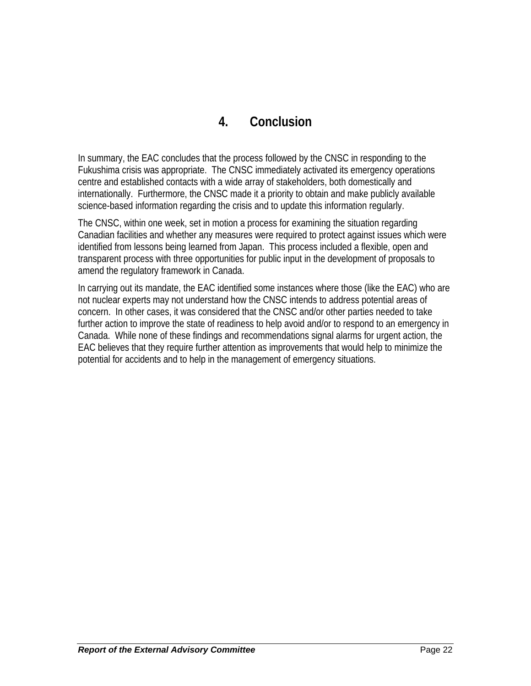# **4. Conclusion**

In summary, the EAC concludes that the process followed by the CNSC in responding to the Fukushima crisis was appropriate. The CNSC immediately activated its emergency operations centre and established contacts with a wide array of stakeholders, both domestically and internationally. Furthermore, the CNSC made it a priority to obtain and make publicly available science-based information regarding the crisis and to update this information regularly.

The CNSC, within one week, set in motion a process for examining the situation regarding Canadian facilities and whether any measures were required to protect against issues which were identified from lessons being learned from Japan. This process included a flexible, open and transparent process with three opportunities for public input in the development of proposals to amend the regulatory framework in Canada.

In carrying out its mandate, the EAC identified some instances where those (like the EAC) who are not nuclear experts may not understand how the CNSC intends to address potential areas of concern. In other cases, it was considered that the CNSC and/or other parties needed to take further action to improve the state of readiness to help avoid and/or to respond to an emergency in Canada. While none of these findings and recommendations signal alarms for urgent action, the EAC believes that they require further attention as improvements that would help to minimize the potential for accidents and to help in the management of emergency situations.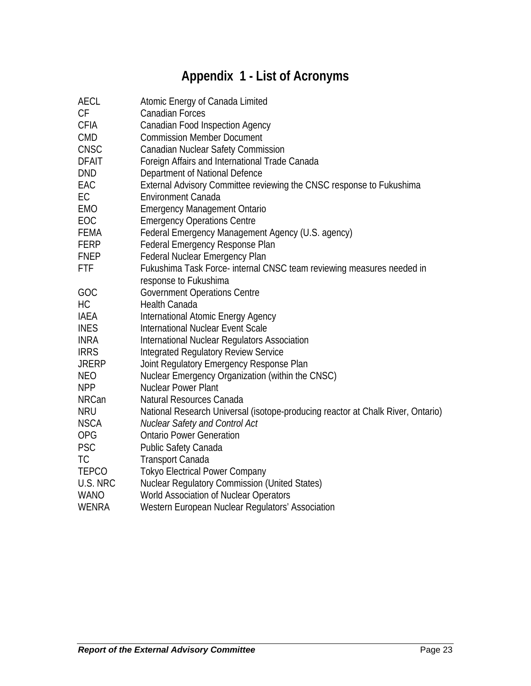# **Appendix 1 - List of Acronyms**

| <b>AECL</b>  | Atomic Energy of Canada Limited                                                 |
|--------------|---------------------------------------------------------------------------------|
| CF           | <b>Canadian Forces</b>                                                          |
| <b>CFIA</b>  | <b>Canadian Food Inspection Agency</b>                                          |
| <b>CMD</b>   | <b>Commission Member Document</b>                                               |
| <b>CNSC</b>  | Canadian Nuclear Safety Commission                                              |
| <b>DFAIT</b> | Foreign Affairs and International Trade Canada                                  |
| <b>DND</b>   | Department of National Defence                                                  |
| EAC          | External Advisory Committee reviewing the CNSC response to Fukushima            |
| EC           | <b>Environment Canada</b>                                                       |
| <b>EMO</b>   | <b>Emergency Management Ontario</b>                                             |
| EOC          | <b>Emergency Operations Centre</b>                                              |
| <b>FEMA</b>  | Federal Emergency Management Agency (U.S. agency)                               |
| <b>FERP</b>  | Federal Emergency Response Plan                                                 |
| <b>FNEP</b>  | <b>Federal Nuclear Emergency Plan</b>                                           |
| <b>FTF</b>   | Fukushima Task Force- internal CNSC team reviewing measures needed in           |
|              | response to Fukushima                                                           |
| GOC          | <b>Government Operations Centre</b>                                             |
| HC           | Health Canada                                                                   |
| <b>IAEA</b>  | International Atomic Energy Agency                                              |
| <b>INES</b>  | International Nuclear Event Scale                                               |
| <b>INRA</b>  | International Nuclear Regulators Association                                    |
| <b>IRRS</b>  | <b>Integrated Regulatory Review Service</b>                                     |
| <b>JRERP</b> | Joint Regulatory Emergency Response Plan                                        |
| <b>NEO</b>   | Nuclear Emergency Organization (within the CNSC)                                |
| <b>NPP</b>   | <b>Nuclear Power Plant</b>                                                      |
| <b>NRCan</b> | Natural Resources Canada                                                        |
| <b>NRU</b>   | National Research Universal (isotope-producing reactor at Chalk River, Ontario) |
| <b>NSCA</b>  | Nuclear Safety and Control Act                                                  |
| <b>OPG</b>   | <b>Ontario Power Generation</b>                                                 |
| <b>PSC</b>   | Public Safety Canada                                                            |
| <b>TC</b>    | <b>Transport Canada</b>                                                         |
| <b>TEPCO</b> | <b>Tokyo Electrical Power Company</b>                                           |
| U.S. NRC     | <b>Nuclear Regulatory Commission (United States)</b>                            |
| <b>WANO</b>  | World Association of Nuclear Operators                                          |
| WENRA        | Western European Nuclear Regulators' Association                                |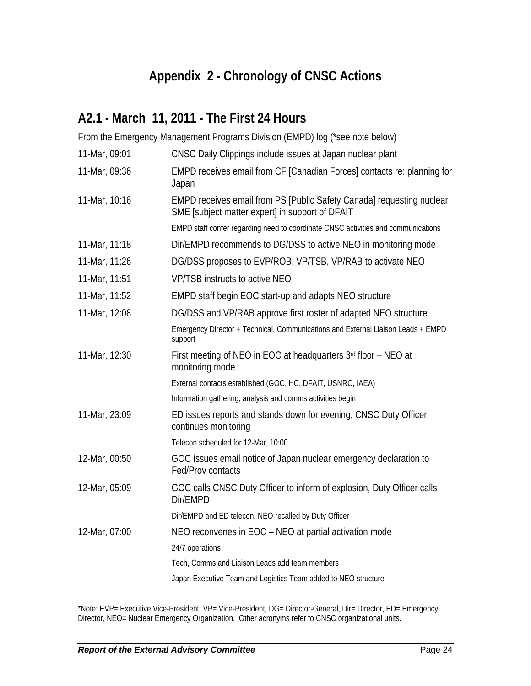# **Appendix 2 - Chronology of CNSC Actions**

# **A2.1 - March 11, 2011 - The First 24 Hours**

From the Emergency Management Programs Division (EMPD) log (\*see note below)

| 11-Mar, 09:01 | CNSC Daily Clippings include issues at Japan nuclear plant                                                               |
|---------------|--------------------------------------------------------------------------------------------------------------------------|
| 11-Mar, 09:36 | EMPD receives email from CF [Canadian Forces] contacts re: planning for<br>Japan                                         |
| 11-Mar, 10:16 | EMPD receives email from PS [Public Safety Canada] requesting nuclear<br>SME [subject matter expert] in support of DFAIT |
|               | EMPD staff confer regarding need to coordinate CNSC activities and communications                                        |
| 11-Mar, 11:18 | Dir/EMPD recommends to DG/DSS to active NEO in monitoring mode                                                           |
| 11-Mar, 11:26 | DG/DSS proposes to EVP/ROB, VP/TSB, VP/RAB to activate NEO                                                               |
| 11-Mar, 11:51 | <b>VP/TSB instructs to active NEO</b>                                                                                    |
| 11-Mar, 11:52 | EMPD staff begin EOC start-up and adapts NEO structure                                                                   |
| 11-Mar, 12:08 | DG/DSS and VP/RAB approve first roster of adapted NEO structure                                                          |
|               | Emergency Director + Technical, Communications and External Liaison Leads + EMPD<br>support                              |
| 11-Mar, 12:30 | First meeting of NEO in EOC at headquarters 3rd floor - NEO at<br>monitoring mode                                        |
|               | External contacts established (GOC, HC, DFAIT, USNRC, IAEA)                                                              |
|               | Information gathering, analysis and comms activities begin                                                               |
| 11-Mar, 23:09 | ED issues reports and stands down for evening, CNSC Duty Officer<br>continues monitoring                                 |
|               | Telecon scheduled for 12-Mar, 10:00                                                                                      |
| 12-Mar, 00:50 | GOC issues email notice of Japan nuclear emergency declaration to<br>Fed/Prov contacts                                   |
| 12-Mar, 05:09 | GOC calls CNSC Duty Officer to inform of explosion, Duty Officer calls<br>Dir/EMPD                                       |
|               | Dir/EMPD and ED telecon, NEO recalled by Duty Officer                                                                    |
| 12-Mar, 07:00 | NEO reconvenes in EOC - NEO at partial activation mode                                                                   |
|               | 24/7 operations                                                                                                          |
|               | Tech, Comms and Liaison Leads add team members                                                                           |
|               | Japan Executive Team and Logistics Team added to NEO structure                                                           |

\*Note: EVP= Executive Vice-President, VP= Vice-President, DG= Director-General, Dir= Director, ED= Emergency Director, NEO= Nuclear Emergency Organization. Other acronyms refer to CNSC organizational units.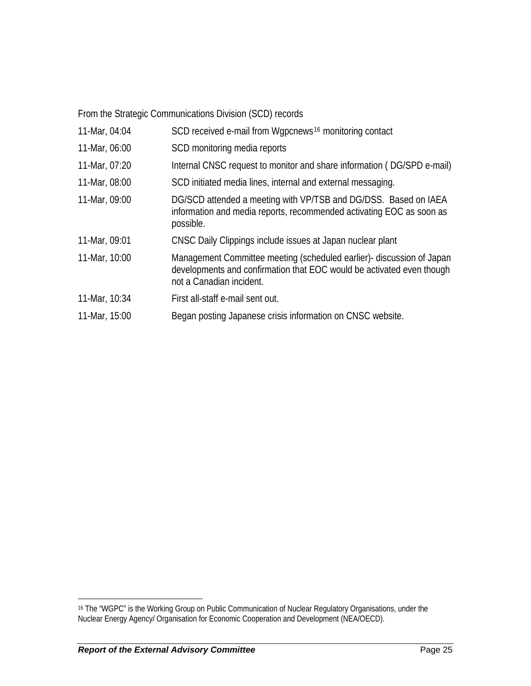From the Strategic Communications Division (SCD) records

| 11-Mar, 04:04 | SCD received e-mail from Wgpcnews <sup>16</sup> monitoring contact                                                                                                         |
|---------------|----------------------------------------------------------------------------------------------------------------------------------------------------------------------------|
| 11-Mar, 06:00 | SCD monitoring media reports                                                                                                                                               |
| 11-Mar, 07:20 | Internal CNSC request to monitor and share information (DG/SPD e-mail)                                                                                                     |
| 11-Mar, 08:00 | SCD initiated media lines, internal and external messaging.                                                                                                                |
| 11-Mar, 09:00 | DG/SCD attended a meeting with VP/TSB and DG/DSS. Based on IAEA<br>information and media reports, recommended activating EOC as soon as<br>possible.                       |
| 11-Mar, 09:01 | CNSC Daily Clippings include issues at Japan nuclear plant                                                                                                                 |
| 11-Mar, 10:00 | Management Committee meeting (scheduled earlier)- discussion of Japan<br>developments and confirmation that EOC would be activated even though<br>not a Canadian incident. |
| 11-Mar, 10:34 | First all-staff e-mail sent out.                                                                                                                                           |
| 11-Mar, 15:00 | Began posting Japanese crisis information on CNSC website.                                                                                                                 |

1

<span id="page-31-0"></span><sup>16</sup> The "WGPC" is the Working Group on Public Communication of Nuclear Regulatory Organisations, under the Nuclear Energy Agency/ Organisation for Economic Cooperation and Development (NEA/OECD).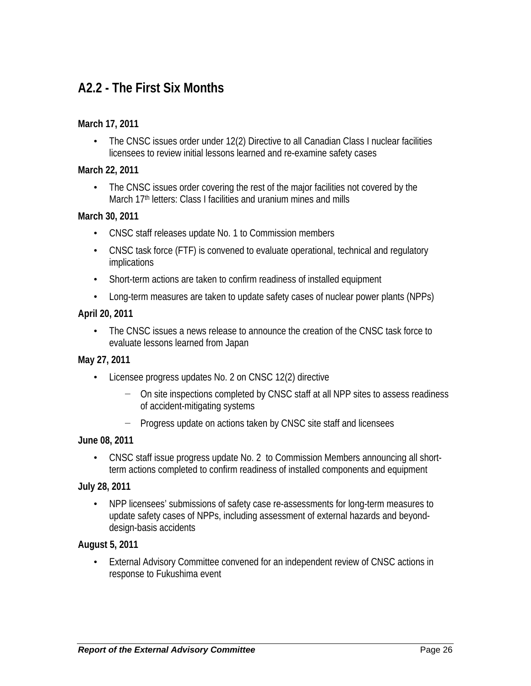# **A2.2 - The First Six Months**

#### **March 17, 2011**

• The CNSC issues order under 12(2) Directive to all Canadian Class I nuclear facilities licensees to review initial lessons learned and re-examine safety cases

#### **March 22, 2011**

• The CNSC issues order covering the rest of the major facilities not covered by the March 17<sup>th</sup> letters: Class I facilities and uranium mines and mills

#### **March 30, 2011**

- CNSC staff releases update No. 1 to Commission members
- CNSC task force (FTF) is convened to evaluate operational, technical and regulatory implications
- Short-term actions are taken to confirm readiness of installed equipment
- Long-term measures are taken to update safety cases of nuclear power plants (NPPs)

#### **April 20, 2011**

• The CNSC issues a news release to announce the creation of the CNSC task force to evaluate lessons learned from Japan

#### **May 27, 2011**

- Licensee progress updates No. 2 on CNSC 12(2) directive
	- − On site inspections completed by CNSC staff at all NPP sites to assess readiness of accident-mitigating systems
	- Progress update on actions taken by CNSC site staff and licensees

#### **June 08, 2011**

• CNSC staff issue progress update No. 2 to Commission Members announcing all shortterm actions completed to confirm readiness of installed components and equipment

#### **July 28, 2011**

• NPP licensees' submissions of safety case re-assessments for long-term measures to update safety cases of NPPs, including assessment of external hazards and beyonddesign-basis accidents

#### **August 5, 2011**

External Advisory Committee convened for an independent review of CNSC actions in response to Fukushima event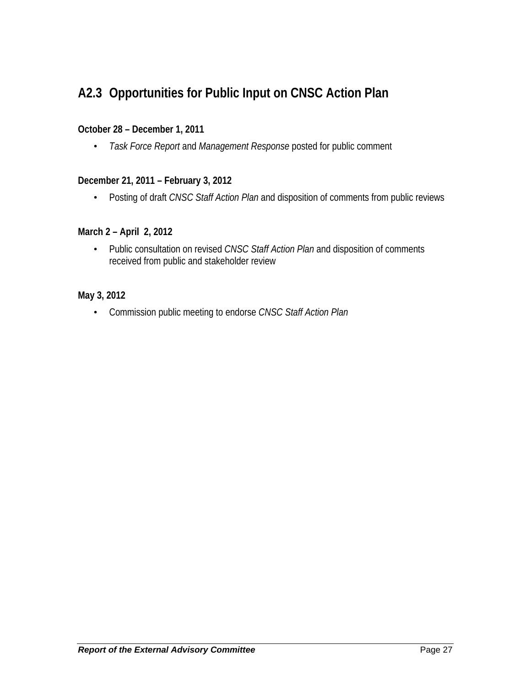# **A2.3 Opportunities for Public Input on CNSC Action Plan**

#### **October 28 – December 1, 2011**

• *Task Force Report* and *Management Response* posted for public comment

#### **December 21, 2011 – February 3, 2012**

• Posting of draft *CNSC Staff Action Plan* and disposition of comments from public reviews

#### **March 2 – April 2, 2012**

• Public consultation on revised *CNSC Staff Action Plan* and disposition of comments received from public and stakeholder review

#### **May 3, 2012**

• Commission public meeting to endorse *CNSC Staff Action Plan*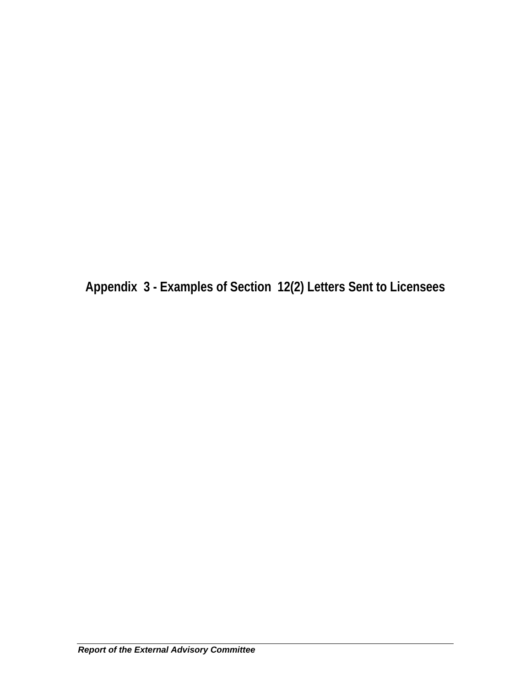**Appendix 3 - Examples of Section 12(2) Letters Sent to Licensees**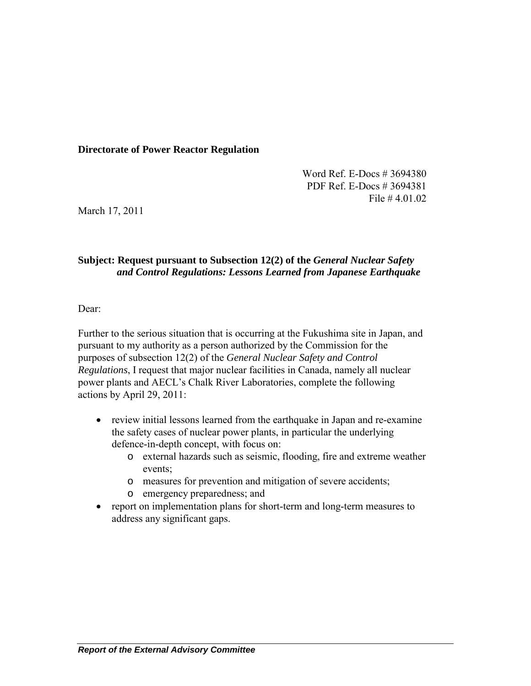#### **Directorate of Power Reactor Regulation**

Word Ref. E-Docs # 3694380 PDF Ref. E-Docs # 3694381 File # 4.01.02

March 17, 2011

#### **Subject: Request pursuant to Subsection 12(2) of the** *General Nuclear Safety and Control Regulations: Lessons Learned from Japanese Earthquake*

Dear:

Further to the serious situation that is occurring at the Fukushima site in Japan, and pursuant to my authority as a person authorized by the Commission for the purposes of subsection 12(2) of the *General Nuclear Safety and Control Regulations*, I request that major nuclear facilities in Canada, namely all nuclear power plants and AECL's Chalk River Laboratories, complete the following actions by April 29, 2011:

- review initial lessons learned from the earthquake in Japan and re-examine the safety cases of nuclear power plants, in particular the underlying defence-in-depth concept, with focus on:
	- o external hazards such as seismic, flooding, fire and extreme weather events;
	- o measures for prevention and mitigation of severe accidents;
	- o emergency preparedness; and
- report on implementation plans for short-term and long-term measures to address any significant gaps.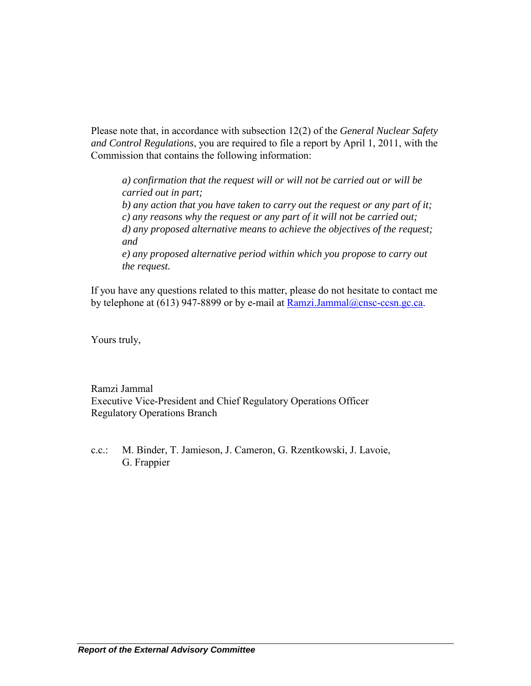Please note that, in accordance with subsection 12(2) of the *General Nuclear Safety and Control Regulations*, you are required to file a report by April 1, 2011, with the Commission that contains the following information:

*a) confirmation that the request will or will not be carried out or will be carried out in part; b) any action that you have taken to carry out the request or any part of it; c) any reasons why the request or any part of it will not be carried out; d) any proposed alternative means to achieve the objectives of the request; and e) any proposed alternative period within which you propose to carry out the request.* 

If you have any questions related to this matter, please do not hesitate to contact me by telephone at  $(613)$  947-8899 or by e-mail at Ramzi.Jammal@cnsc-ccsn.gc.ca.

Yours truly,

Ramzi Jammal Executive Vice-President and Chief Regulatory Operations Officer Regulatory Operations Branch

c.c.: M. Binder, T. Jamieson, J. Cameron, G. Rzentkowski, J. Lavoie, G. Frappier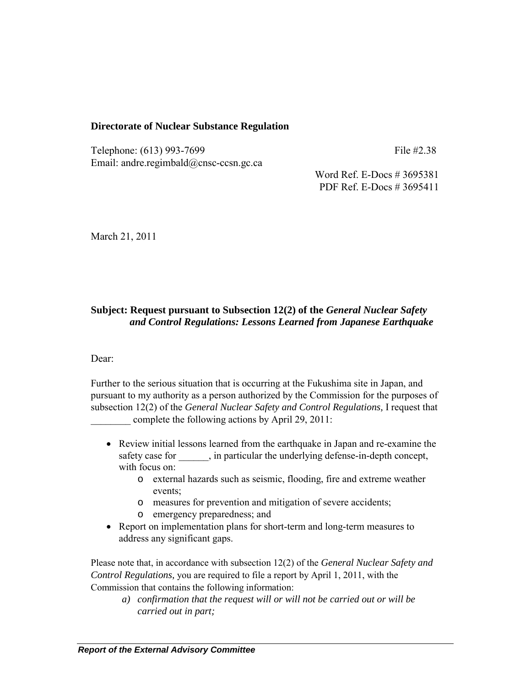#### **Directorate of Nuclear Substance Regulation**

Telephone: (613) 993-7699 File #2.38 Email: andre.regimbald@cnsc-ccsn.gc.ca

Word Ref. E-Docs # 3695381 PDF Ref. E-Docs # 3695411

March 21, 2011

#### **Subject: Request pursuant to Subsection 12(2) of the** *General Nuclear Safety and Control Regulations: Lessons Learned from Japanese Earthquake*

Dear:

Further to the serious situation that is occurring at the Fukushima site in Japan, and pursuant to my authority as a person authorized by the Commission for the purposes of subsection 12(2) of the *General Nuclear Safety and Control Regulations,* I request that complete the following actions by April 29, 2011:

- Review initial lessons learned from the earthquake in Japan and re-examine the safety case for \_\_\_\_\_, in particular the underlying defense-in-depth concept, with focus on:
	- o external hazards such as seismic, flooding, fire and extreme weather events;
	- o measures for prevention and mitigation of severe accidents;
	- o emergency preparedness; and
- Report on implementation plans for short-term and long-term measures to address any significant gaps.

Please note that, in accordance with subsection 12(2) of the *General Nuclear Safety and Control Regulations,* you are required to file a report by April 1, 2011, with the Commission that contains the following information:

*a) confirmation that the request will or will not be carried out or will be carried out in part;*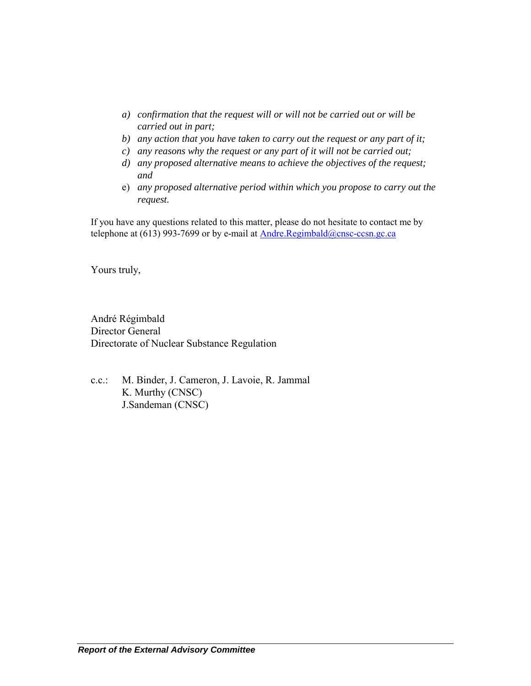- *a) confirmation that the request will or will not be carried out or will be carried out in part;*
- *b) any action that you have taken to carry out the request or any part of it;*
- *c) any reasons why the request or any part of it will not be carried out;*
- *d) any proposed alternative means to achieve the objectives of the request; and*
- e) *any proposed alternative period within which you propose to carry out the request.*

If you have any questions related to this matter, please do not hesitate to contact me by telephone at (613) 993-7699 or by e-mail at  $Andre.Regimbald@cnsc-ccsn.gc.ca$ 

Yours truly,

André Régimbald Director General Directorate of Nuclear Substance Regulation

c.c.: M. Binder, J. Cameron, J. Lavoie, R. Jammal K. Murthy (CNSC) J.Sandeman (CNSC)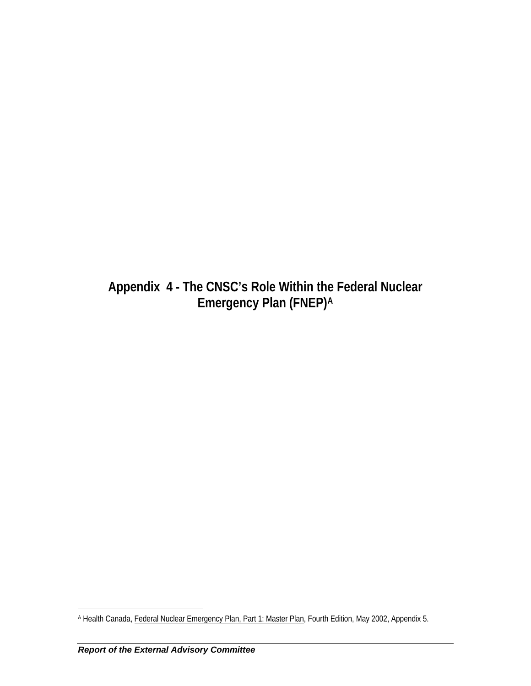**Appendix 4 - The CNSC's Role Within th[e](#page-39-0) Federal Nuclear Emergency Plan (FNEP)[A](#page-39-0)**

<span id="page-39-0"></span> $\overline{a}$ A Health Canada, Federal Nuclear Emergency Plan, Part 1: Master Plan, Fourth Edition, May 2002, Appendix 5.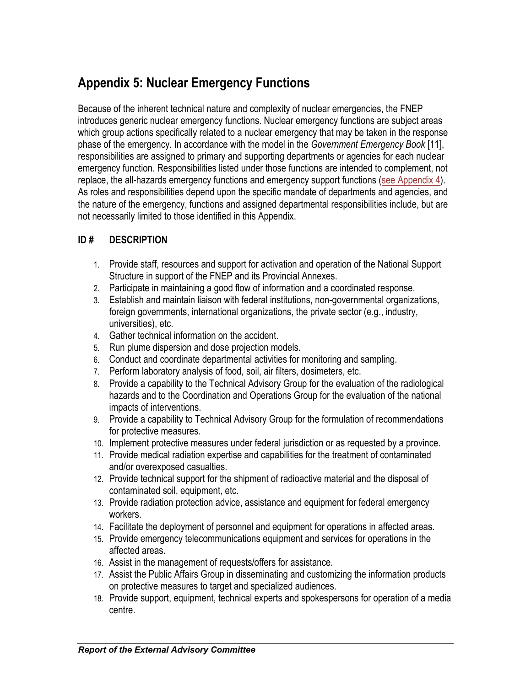# **Appendix 5: Nuclear Emergency Functions**

Because of the inherent technical nature and complexity of nuclear emergencies, the FNEP introduces generic nuclear emergency functions. Nuclear emergency functions are subject areas which group actions specifically related to a nuclear emergency that may be taken in the response phase of the emergency. In accordance with the model in the *Government Emergency Book* [11], responsibilities are assigned to primary and supporting departments or agencies for each nuclear emergency function. Responsibilities listed under those functions are intended to complement, not replace, the all-hazards emergency functions and emergency support functions [\(see Appendix 4\)](http://www.hc-sc.gc.ca/hc-ps/pubs/ed-ud/fnep-pfun-1/appendix-4-annexe-eng.php). As roles and responsibilities depend upon the specific mandate of departments and agencies, and the nature of the emergency, functions and assigned departmental responsibilities include, but are not necessarily limited to those identified in this Appendix.

#### **ID # DESCRIPTION**

- 1. Provide staff, resources and support for activation and operation of the National Support Structure in support of the FNEP and its Provincial Annexes.
- 2. Participate in maintaining a good flow of information and a coordinated response.
- 3. Establish and maintain liaison with federal institutions, non-governmental organizations, foreign governments, international organizations, the private sector (e.g., industry, universities), etc.
- 4. Gather technical information on the accident.
- 5. Run plume dispersion and dose projection models.
- 6. Conduct and coordinate departmental activities for monitoring and sampling.
- 7. Perform laboratory analysis of food, soil, air filters, dosimeters, etc.
- 8. Provide a capability to the Technical Advisory Group for the evaluation of the radiological hazards and to the Coordination and Operations Group for the evaluation of the national impacts of interventions.
- 9. Provide a capability to Technical Advisory Group for the formulation of recommendations for protective measures.
- 10. Implement protective measures under federal jurisdiction or as requested by a province.
- 11. Provide medical radiation expertise and capabilities for the treatment of contaminated and/or overexposed casualties.
- 12. Provide technical support for the shipment of radioactive material and the disposal of contaminated soil, equipment, etc.
- 13. Provide radiation protection advice, assistance and equipment for federal emergency workers.
- 14. Facilitate the deployment of personnel and equipment for operations in affected areas.
- 15. Provide emergency telecommunications equipment and services for operations in the affected areas.
- 16. Assist in the management of requests/offers for assistance.
- 17. Assist the Public Affairs Group in disseminating and customizing the information products on protective measures to target and specialized audiences.
- 18. Provide support, equipment, technical experts and spokespersons for operation of a media centre.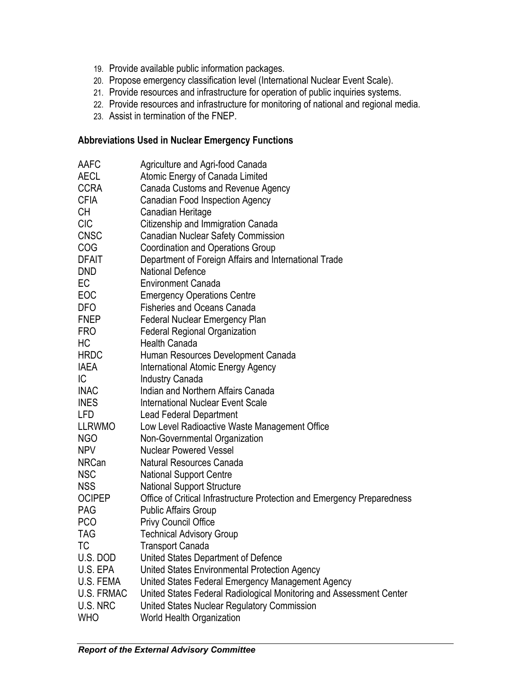- 19. Provide available public information packages.
- 20. Propose emergency classification level (International Nuclear Event Scale).
- 21. Provide resources and infrastructure for operation of public inquiries systems.
- 22. Provide resources and infrastructure for monitoring of national and regional media.
- 23. Assist in termination of the FNEP.

#### **Abbreviations Used in Nuclear Emergency Functions**

| AAFC          | Agriculture and Agri-food Canada                                        |
|---------------|-------------------------------------------------------------------------|
| <b>AECL</b>   | Atomic Energy of Canada Limited                                         |
| <b>CCRA</b>   | Canada Customs and Revenue Agency                                       |
| <b>CFIA</b>   | Canadian Food Inspection Agency                                         |
| CH            | Canadian Heritage                                                       |
| <b>CIC</b>    | Citizenship and Immigration Canada                                      |
| <b>CNSC</b>   | <b>Canadian Nuclear Safety Commission</b>                               |
| COG           | <b>Coordination and Operations Group</b>                                |
| <b>DFAIT</b>  | Department of Foreign Affairs and International Trade                   |
| <b>DND</b>    | <b>National Defence</b>                                                 |
| EC            | <b>Environment Canada</b>                                               |
| EOC           | <b>Emergency Operations Centre</b>                                      |
| <b>DFO</b>    | <b>Fisheries and Oceans Canada</b>                                      |
| <b>FNEP</b>   | Federal Nuclear Emergency Plan                                          |
| <b>FRO</b>    | <b>Federal Regional Organization</b>                                    |
| HC            | <b>Health Canada</b>                                                    |
| <b>HRDC</b>   | Human Resources Development Canada                                      |
| <b>IAEA</b>   | International Atomic Energy Agency                                      |
| IC.           | <b>Industry Canada</b>                                                  |
| <b>INAC</b>   | Indian and Northern Affairs Canada                                      |
| <b>INES</b>   | <b>International Nuclear Event Scale</b>                                |
| LFD           | <b>Lead Federal Department</b>                                          |
| <b>LLRWMO</b> | Low Level Radioactive Waste Management Office                           |
| NGO           | Non-Governmental Organization                                           |
| <b>NPV</b>    | <b>Nuclear Powered Vessel</b>                                           |
| <b>NRCan</b>  | Natural Resources Canada                                                |
| <b>NSC</b>    | <b>National Support Centre</b>                                          |
| <b>NSS</b>    | <b>National Support Structure</b>                                       |
| <b>OCIPEP</b> | Office of Critical Infrastructure Protection and Emergency Preparedness |
| <b>PAG</b>    | <b>Public Affairs Group</b>                                             |
| <b>PCO</b>    | <b>Privy Council Office</b>                                             |
| <b>TAG</b>    | <b>Technical Advisory Group</b>                                         |
| ТC            | <b>Transport Canada</b>                                                 |
| U.S. DOD      | United States Department of Defence                                     |
| U.S. EPA      | United States Environmental Protection Agency                           |
| U.S. FEMA     | United States Federal Emergency Management Agency                       |
| U.S. FRMAC    | United States Federal Radiological Monitoring and Assessment Center     |
| U.S. NRC      | United States Nuclear Regulatory Commission                             |
| <b>WHO</b>    | World Health Organization                                               |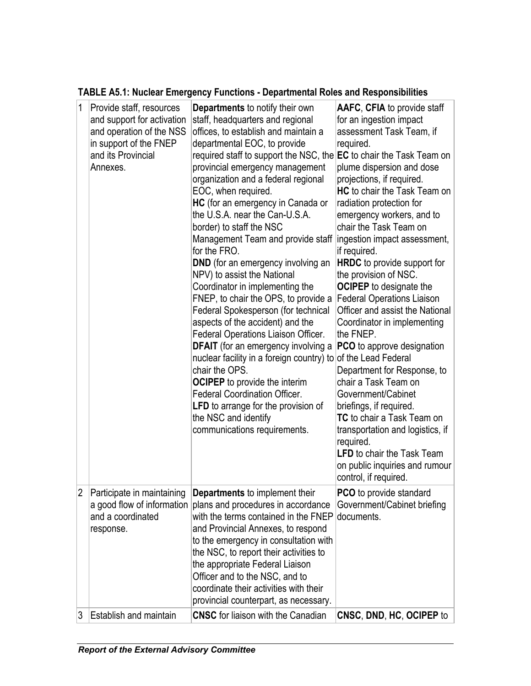| 1 | Provide staff, resources<br>and support for activation<br>and operation of the NSS<br>in support of the FNEP<br>and its Provincial<br>Annexes. | <b>Departments</b> to notify their own<br>staff, headquarters and regional<br>offices, to establish and maintain a<br>departmental EOC, to provide<br>required staff to support the NSC, the EC to chair the Task Team on<br>provincial emergency management<br>organization and a federal regional<br>EOC, when required.<br>HC (for an emergency in Canada or<br>the U.S.A. near the Can-U.S.A.<br>border) to staff the NSC<br>Management Team and provide staff<br>for the FRO.<br><b>DND</b> (for an emergency involving an<br>NPV) to assist the National<br>Coordinator in implementing the<br>FNEP, to chair the OPS, to provide a<br>Federal Spokesperson (for technical<br>aspects of the accident) and the<br>Federal Operations Liaison Officer.<br><b>DFAIT</b> (for an emergency involving a<br>nuclear facility in a foreign country) to of the Lead Federal<br>chair the OPS.<br><b>OCIPEP</b> to provide the interim<br><b>Federal Coordination Officer.</b><br><b>LFD</b> to arrange for the provision of<br>the NSC and identify<br>communications requirements. | AAFC, CFIA to provide staff<br>for an ingestion impact<br>assessment Task Team, if<br>required.<br>plume dispersion and dose<br>projections, if required.<br><b>HC</b> to chair the Task Team on<br>radiation protection for<br>emergency workers, and to<br>chair the Task Team on<br>ingestion impact assessment,<br>if required.<br><b>HRDC</b> to provide support for<br>the provision of NSC.<br><b>OCIPEP</b> to designate the<br><b>Federal Operations Liaison</b><br>Officer and assist the National<br>Coordinator in implementing<br>the FNEP.<br><b>PCO</b> to approve designation<br>Department for Response, to<br>chair a Task Team on<br>Government/Cabinet<br>briefings, if required.<br>TC to chair a Task Team on<br>transportation and logistics, if<br>required.<br><b>LFD</b> to chair the Task Team<br>on public inquiries and rumour<br>control, if required. |
|---|------------------------------------------------------------------------------------------------------------------------------------------------|------------------------------------------------------------------------------------------------------------------------------------------------------------------------------------------------------------------------------------------------------------------------------------------------------------------------------------------------------------------------------------------------------------------------------------------------------------------------------------------------------------------------------------------------------------------------------------------------------------------------------------------------------------------------------------------------------------------------------------------------------------------------------------------------------------------------------------------------------------------------------------------------------------------------------------------------------------------------------------------------------------------------------------------------------------------------------------|--------------------------------------------------------------------------------------------------------------------------------------------------------------------------------------------------------------------------------------------------------------------------------------------------------------------------------------------------------------------------------------------------------------------------------------------------------------------------------------------------------------------------------------------------------------------------------------------------------------------------------------------------------------------------------------------------------------------------------------------------------------------------------------------------------------------------------------------------------------------------------------|
| 2 | Participate in maintaining<br>a good flow of information<br>and a coordinated<br>response.                                                     | Departments to implement their<br>plans and procedures in accordance<br>with the terms contained in the FNEP<br>and Provincial Annexes, to respond<br>to the emergency in consultation with<br>the NSC, to report their activities to<br>the appropriate Federal Liaison<br>Officer and to the NSC, and to<br>coordinate their activities with their<br>provincial counterpart, as necessary.                                                                                                                                                                                                                                                                                                                                                                                                                                                                                                                                                                                                                                                                                      | <b>PCO</b> to provide standard<br>Government/Cabinet briefing<br>documents.                                                                                                                                                                                                                                                                                                                                                                                                                                                                                                                                                                                                                                                                                                                                                                                                          |
| 3 | <b>Establish and maintain</b>                                                                                                                  | <b>CNSC</b> for liaison with the Canadian                                                                                                                                                                                                                                                                                                                                                                                                                                                                                                                                                                                                                                                                                                                                                                                                                                                                                                                                                                                                                                          | CNSC, DND, HC, OCIPEP to                                                                                                                                                                                                                                                                                                                                                                                                                                                                                                                                                                                                                                                                                                                                                                                                                                                             |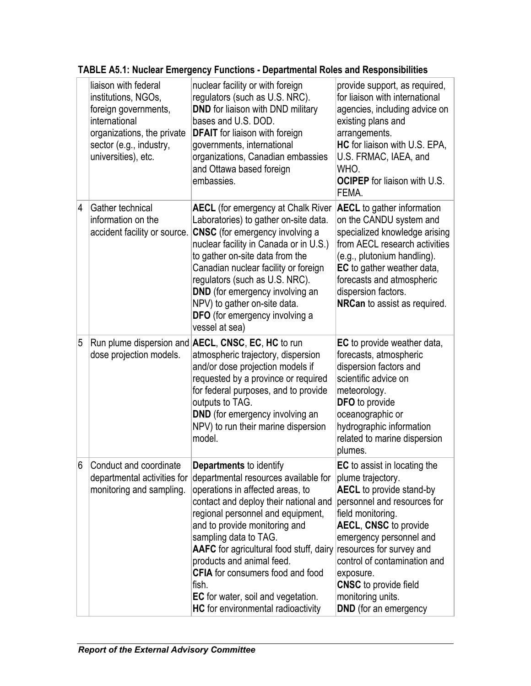|                | liaison with federal<br>institutions, NGOs,<br>foreign governments,<br>international<br>organizations, the private<br>sector (e.g., industry,<br>universities), etc. | nuclear facility or with foreign<br>regulators (such as U.S. NRC).<br><b>DND</b> for liaison with DND military<br>bases and U.S. DOD.<br><b>DFAIT</b> for liaison with foreign<br>governments, international<br>organizations, Canadian embassies<br>and Ottawa based foreign<br>embassies.                                                                                                                                                         | provide support, as required,<br>for liaison with international<br>agencies, including advice on<br>existing plans and<br>arrangements.<br>HC for liaison with U.S. EPA,<br>U.S. FRMAC, IAEA, and<br>WHO.<br><b>OCIPEP</b> for liaison with U.S.<br>FEMA.                                                                                                                |
|----------------|----------------------------------------------------------------------------------------------------------------------------------------------------------------------|-----------------------------------------------------------------------------------------------------------------------------------------------------------------------------------------------------------------------------------------------------------------------------------------------------------------------------------------------------------------------------------------------------------------------------------------------------|--------------------------------------------------------------------------------------------------------------------------------------------------------------------------------------------------------------------------------------------------------------------------------------------------------------------------------------------------------------------------|
| 4              | Gather technical<br>information on the<br>accident facility or source.                                                                                               | <b>AECL</b> (for emergency at Chalk River<br>Laboratories) to gather on-site data.<br><b>CNSC</b> (for emergency involving a<br>nuclear facility in Canada or in U.S.)<br>to gather on-site data from the<br>Canadian nuclear facility or foreign<br>regulators (such as U.S. NRC).<br><b>DND</b> (for emergency involving an<br>NPV) to gather on-site data.<br><b>DFO</b> (for emergency involving a<br>vessel at sea)                            | <b>AECL</b> to gather information<br>on the CANDU system and<br>specialized knowledge arising<br>from AECL research activities<br>(e.g., plutonium handling).<br>EC to gather weather data,<br>forecasts and atmospheric<br>dispersion factors.<br>NRCan to assist as required.                                                                                          |
| 5              | dose projection models.                                                                                                                                              | Run plume dispersion and <b>AECL</b> , CNSC, EC, HC to run<br>atmospheric trajectory, dispersion<br>and/or dose projection models if<br>requested by a province or required<br>for federal purposes, and to provide<br>outputs to TAG.<br><b>DND</b> (for emergency involving an<br>NPV) to run their marine dispersion<br>model.                                                                                                                   | <b>EC</b> to provide weather data,<br>forecasts, atmospheric<br>dispersion factors and<br>scientific advice on<br>meteorology.<br>DFO to provide<br>oceanographic or<br>hydrographic information<br>related to marine dispersion<br>plumes.                                                                                                                              |
| $6\phantom{.}$ | Conduct and coordinate<br>departmental activities for<br>monitoring and sampling.                                                                                    | Departments to identify<br>departmental resources available for<br>operations in affected areas, to<br>contact and deploy their national and<br>regional personnel and equipment,<br>and to provide monitoring and<br>sampling data to TAG.<br>AAFC for agricultural food stuff, dairy<br>products and animal feed.<br><b>CFIA</b> for consumers food and food<br>fish.<br>EC for water, soil and vegetation.<br>HC for environmental radioactivity | <b>EC</b> to assist in locating the<br>plume trajectory.<br><b>AECL</b> to provide stand-by<br>personnel and resources for<br>field monitoring.<br><b>AECL, CNSC to provide</b><br>emergency personnel and<br>resources for survey and<br>control of contamination and<br>exposure.<br><b>CNSC</b> to provide field<br>monitoring units.<br><b>DND</b> (for an emergency |

**TABLE A5.1: Nuclear Emergency Functions - Departmental Roles and Responsibilities**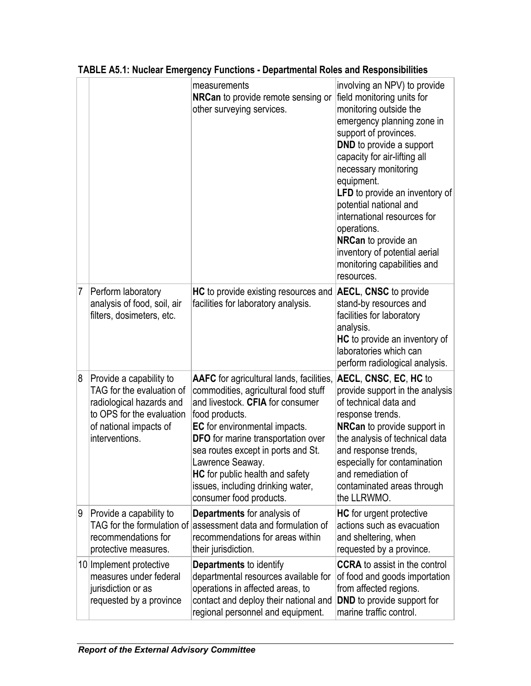|   |                                                                                                                                                           | measurements<br><b>NRCan</b> to provide remote sensing or<br>other surveying services.                                                                                                                                                                                                                                                                                                   | involving an NPV) to provide<br>field monitoring units for<br>monitoring outside the<br>emergency planning zone in<br>support of provinces.<br><b>DND</b> to provide a support<br>capacity for air-lifting all<br>necessary monitoring<br>equipment.<br>LFD to provide an inventory of<br>potential national and<br>international resources for<br>operations.<br>NRCan to provide an<br>inventory of potential aerial<br>monitoring capabilities and<br>resources. |
|---|-----------------------------------------------------------------------------------------------------------------------------------------------------------|------------------------------------------------------------------------------------------------------------------------------------------------------------------------------------------------------------------------------------------------------------------------------------------------------------------------------------------------------------------------------------------|---------------------------------------------------------------------------------------------------------------------------------------------------------------------------------------------------------------------------------------------------------------------------------------------------------------------------------------------------------------------------------------------------------------------------------------------------------------------|
| 7 | Perform laboratory<br>analysis of food, soil, air<br>filters, dosimeters, etc.                                                                            | <b>HC</b> to provide existing resources and<br>facilities for laboratory analysis.                                                                                                                                                                                                                                                                                                       | <b>AECL, CNSC to provide</b><br>stand-by resources and<br>facilities for laboratory<br>analysis.<br><b>HC</b> to provide an inventory of<br>laboratories which can<br>perform radiological analysis.                                                                                                                                                                                                                                                                |
| 8 | Provide a capability to<br>TAG for the evaluation of<br>radiological hazards and<br>to OPS for the evaluation<br>of national impacts of<br>interventions. | <b>AAFC</b> for agricultural lands, facilities,<br>commodities, agricultural food stuff<br>and livestock. CFIA for consumer<br>food products.<br>EC for environmental impacts.<br>DFO for marine transportation over<br>sea routes except in ports and St.<br>Lawrence Seaway.<br><b>HC</b> for public health and safety<br>issues, including drinking water,<br>consumer food products. | AECL, CNSC, EC, HC to<br>provide support in the analysis<br>of technical data and<br>response trends.<br><b>NRCan</b> to provide support in<br>the analysis of technical data<br>and response trends,<br>especially for contamination<br>and remediation of<br>contaminated areas through<br>the LLRWMO.                                                                                                                                                            |
| 9 | Provide a capability to<br>TAG for the formulation of<br>recommendations for<br>protective measures.                                                      | Departments for analysis of<br>assessment data and formulation of<br>recommendations for areas within<br>their jurisdiction.                                                                                                                                                                                                                                                             | <b>HC</b> for urgent protective<br>actions such as evacuation<br>and sheltering, when<br>requested by a province.                                                                                                                                                                                                                                                                                                                                                   |
|   | 10 Implement protective<br>measures under federal<br>jurisdiction or as<br>requested by a province                                                        | <b>Departments to identify</b><br>departmental resources available for<br>operations in affected areas, to<br>contact and deploy their national and<br>regional personnel and equipment.                                                                                                                                                                                                 | <b>CCRA</b> to assist in the control<br>of food and goods importation<br>from affected regions.<br><b>DND</b> to provide support for<br>marine traffic control.                                                                                                                                                                                                                                                                                                     |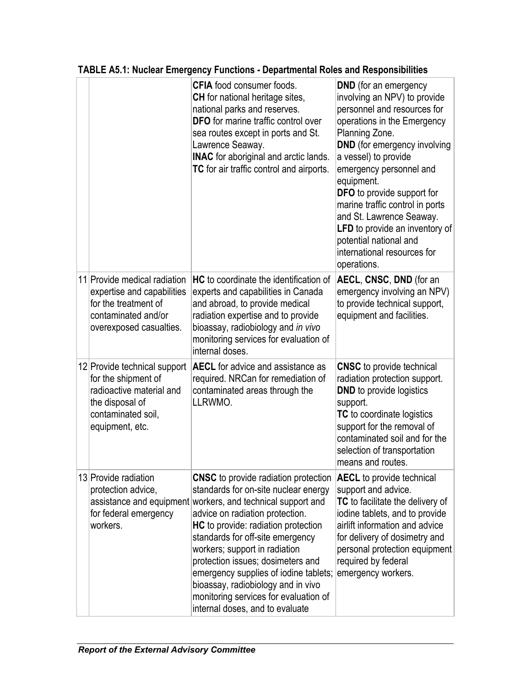|  |                                                                                                                                             | <b>CFIA</b> food consumer foods.<br><b>CH</b> for national heritage sites,<br>national parks and reserves.<br><b>DFO</b> for marine traffic control over<br>sea routes except in ports and St.<br>Lawrence Seaway.<br><b>INAC</b> for aboriginal and arctic lands.<br>TC for air traffic control and airports.                                                                                                                                                                                    | <b>DND</b> (for an emergency<br>involving an NPV) to provide<br>personnel and resources for<br>operations in the Emergency<br>Planning Zone.<br><b>DND</b> (for emergency involving<br>a vessel) to provide<br>emergency personnel and<br>equipment.<br><b>DFO</b> to provide support for<br>marine traffic control in ports<br>and St. Lawrence Seaway.<br>LFD to provide an inventory of<br>potential national and<br>international resources for<br>operations. |
|--|---------------------------------------------------------------------------------------------------------------------------------------------|---------------------------------------------------------------------------------------------------------------------------------------------------------------------------------------------------------------------------------------------------------------------------------------------------------------------------------------------------------------------------------------------------------------------------------------------------------------------------------------------------|--------------------------------------------------------------------------------------------------------------------------------------------------------------------------------------------------------------------------------------------------------------------------------------------------------------------------------------------------------------------------------------------------------------------------------------------------------------------|
|  | 11 Provide medical radiation<br>expertise and capabilities<br>for the treatment of<br>contaminated and/or<br>overexposed casualties.        | <b>HC</b> to coordinate the identification of<br>experts and capabilities in Canada<br>and abroad, to provide medical<br>radiation expertise and to provide<br>bioassay, radiobiology and in vivo<br>monitoring services for evaluation of<br>internal doses.                                                                                                                                                                                                                                     | AECL, CNSC, DND (for an<br>emergency involving an NPV)<br>to provide technical support,<br>equipment and facilities.                                                                                                                                                                                                                                                                                                                                               |
|  | 12 Provide technical support<br>for the shipment of<br>radioactive material and<br>the disposal of<br>contaminated soil,<br>equipment, etc. | <b>AECL</b> for advice and assistance as<br>required. NRCan for remediation of<br>contaminated areas through the<br>LLRWMO.                                                                                                                                                                                                                                                                                                                                                                       | <b>CNSC</b> to provide technical<br>radiation protection support.<br><b>DND</b> to provide logistics<br>support.<br>TC to coordinate logistics<br>support for the removal of<br>contaminated soil and for the<br>selection of transportation<br>means and routes.                                                                                                                                                                                                  |
|  | 13 Provide radiation<br>protection advice,<br>for federal emergency<br>workers.                                                             | <b>CNSC</b> to provide radiation protection<br>standards for on-site nuclear energy<br>assistance and equipment workers, and technical support and<br>advice on radiation protection.<br>HC to provide: radiation protection<br>standards for off-site emergency<br>workers; support in radiation<br>protection issues; dosimeters and<br>emergency supplies of iodine tablets;<br>bioassay, radiobiology and in vivo<br>monitoring services for evaluation of<br>internal doses, and to evaluate | <b>AECL</b> to provide technical<br>support and advice.<br>TC to facilitate the delivery of<br>iodine tablets, and to provide<br>airlift information and advice<br>for delivery of dosimetry and<br>personal protection equipment<br>required by federal<br>emergency workers.                                                                                                                                                                                     |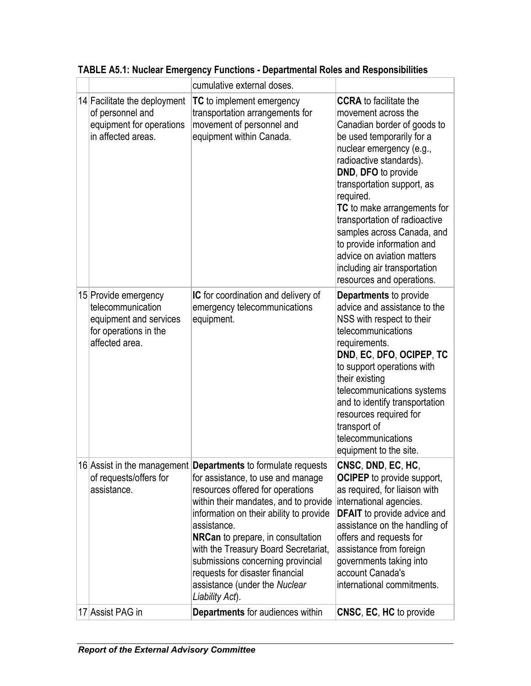|  |                                                                                                                | cumulative external doses.                                                                                                                                                                                                                                                                                                                                                                                                                                |                                                                                                                                                                                                                                                                                                                                                                                                                                                                  |
|--|----------------------------------------------------------------------------------------------------------------|-----------------------------------------------------------------------------------------------------------------------------------------------------------------------------------------------------------------------------------------------------------------------------------------------------------------------------------------------------------------------------------------------------------------------------------------------------------|------------------------------------------------------------------------------------------------------------------------------------------------------------------------------------------------------------------------------------------------------------------------------------------------------------------------------------------------------------------------------------------------------------------------------------------------------------------|
|  | 14 Facilitate the deployment<br>of personnel and<br>equipment for operations<br>in affected areas.             | <b>TC</b> to implement emergency<br>transportation arrangements for<br>movement of personnel and<br>equipment within Canada.                                                                                                                                                                                                                                                                                                                              | <b>CCRA</b> to facilitate the<br>movement across the<br>Canadian border of goods to<br>be used temporarily for a<br>nuclear emergency (e.g.,<br>radioactive standards).<br>DND, DFO to provide<br>transportation support, as<br>required.<br>TC to make arrangements for<br>transportation of radioactive<br>samples across Canada, and<br>to provide information and<br>advice on aviation matters<br>including air transportation<br>resources and operations. |
|  | 15 Provide emergency<br>telecommunication<br>equipment and services<br>for operations in the<br>affected area. | IC for coordination and delivery of<br>emergency telecommunications<br>equipment.                                                                                                                                                                                                                                                                                                                                                                         | Departments to provide<br>advice and assistance to the<br>NSS with respect to their<br>telecommunications<br>requirements.<br>DND, EC, DFO, OCIPEP, TC<br>to support operations with<br>their existing<br>telecommunications systems<br>and to identify transportation<br>resources required for<br>transport of<br>telecommunications<br>equipment to the site.                                                                                                 |
|  | of requests/offers for<br>assistance.                                                                          | 16 Assist in the management <b>Departments</b> to formulate requests<br>for assistance, to use and manage<br>resources offered for operations<br>within their mandates, and to provide<br>information on their ability to provide<br>assistance.<br>NRCan to prepare, in consultation<br>with the Treasury Board Secretariat,<br>submissions concerning provincial<br>requests for disaster financial<br>assistance (under the Nuclear<br>Liability Act). | CNSC, DND, EC, HC,<br><b>OCIPEP</b> to provide support,<br>as required, for liaison with<br>international agencies.<br><b>DFAIT</b> to provide advice and<br>assistance on the handling of<br>offers and requests for<br>assistance from foreign<br>governments taking into<br>account Canada's<br>international commitments.                                                                                                                                    |
|  | 17 Assist PAG in                                                                                               | Departments for audiences within                                                                                                                                                                                                                                                                                                                                                                                                                          | <b>CNSC, EC, HC</b> to provide                                                                                                                                                                                                                                                                                                                                                                                                                                   |

**TABLE A5.1: Nuclear Emergency Functions - Departmental Roles and Responsibilities**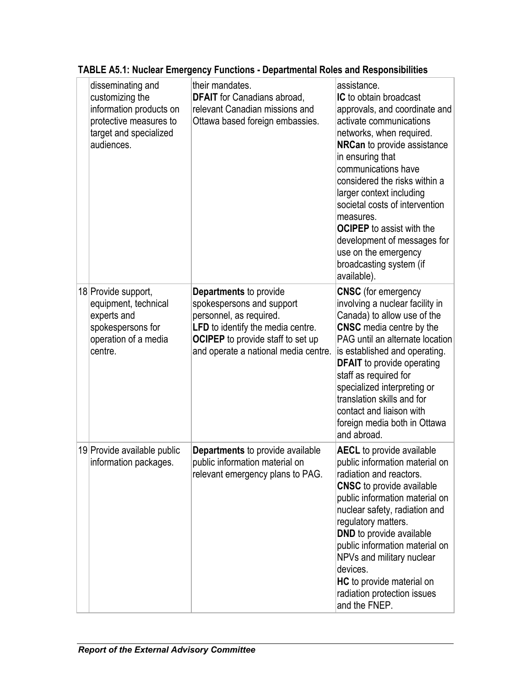|  | disseminating and<br>customizing the<br>information products on<br>protective measures to<br>target and specialized<br>audiences. | their mandates.<br><b>DFAIT</b> for Canadians abroad,<br>relevant Canadian missions and<br>Ottawa based foreign embassies.                                                                                     | assistance.<br>IC to obtain broadcast<br>approvals, and coordinate and<br>activate communications<br>networks, when required.<br><b>NRCan</b> to provide assistance<br>in ensuring that<br>communications have<br>considered the risks within a<br>larger context including<br>societal costs of intervention<br>measures.<br><b>OCIPEP</b> to assist with the<br>development of messages for<br>use on the emergency<br>broadcasting system (if<br>available). |
|--|-----------------------------------------------------------------------------------------------------------------------------------|----------------------------------------------------------------------------------------------------------------------------------------------------------------------------------------------------------------|-----------------------------------------------------------------------------------------------------------------------------------------------------------------------------------------------------------------------------------------------------------------------------------------------------------------------------------------------------------------------------------------------------------------------------------------------------------------|
|  | 18 Provide support,<br>equipment, technical<br>experts and<br>spokespersons for<br>operation of a media<br>centre.                | <b>Departments to provide</b><br>spokespersons and support<br>personnel, as required.<br>LFD to identify the media centre.<br><b>OCIPEP</b> to provide staff to set up<br>and operate a national media centre. | <b>CNSC</b> (for emergency<br>involving a nuclear facility in<br>Canada) to allow use of the<br><b>CNSC</b> media centre by the<br>PAG until an alternate location<br>is established and operating.<br><b>DFAIT</b> to provide operating<br>staff as required for<br>specialized interpreting or<br>translation skills and for<br>contact and liaison with<br>foreign media both in Ottawa<br>and abroad.                                                       |
|  | 19 Provide available public<br>information packages.                                                                              | <b>Departments</b> to provide available<br>public information material on<br>relevant emergency plans to PAG.                                                                                                  | <b>AECL</b> to provide available<br>public information material on<br>radiation and reactors.<br><b>CNSC</b> to provide available<br>public information material on<br>nuclear safety, radiation and<br>regulatory matters.<br><b>DND</b> to provide available<br>public information material on<br>NPVs and military nuclear<br>devices.<br>HC to provide material on<br>radiation protection issues<br>and the FNEP.                                          |